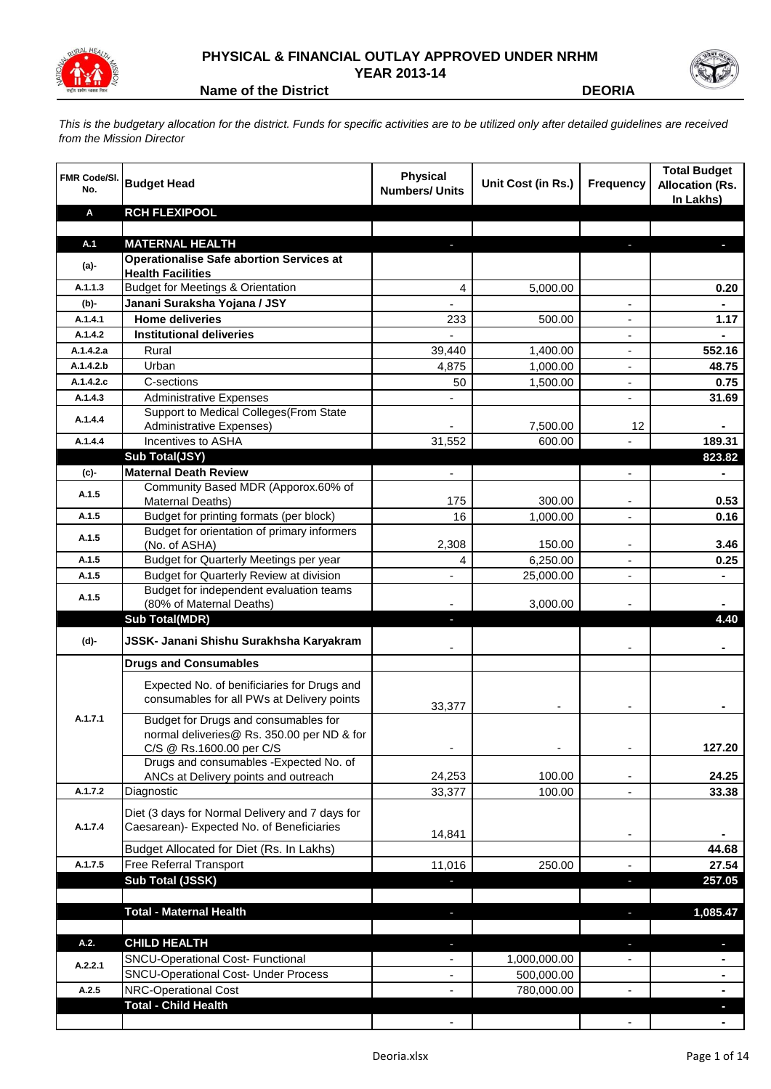

## **PHYSICAL & FINANCIAL OUTLAY APPROVED UNDER NRHM YEAR 2013-14**



**Name of the District DEORIA**

*This is the budgetary allocation for the district. Funds for specific activities are to be utilized only after detailed guidelines are received from the Mission Director*

| <b>FMR Code/SI.</b><br>No. | <b>Budget Head</b>                                                                        | <b>Physical</b><br><b>Numbers/ Units</b> | Unit Cost (in Rs.) | <b>Frequency</b>         | <b>Total Budget</b><br><b>Allocation (Rs.</b><br>In Lakhs) |
|----------------------------|-------------------------------------------------------------------------------------------|------------------------------------------|--------------------|--------------------------|------------------------------------------------------------|
| A                          | <b>RCH FLEXIPOOL</b>                                                                      |                                          |                    |                          |                                                            |
| A.1                        | <b>MATERNAL HEALTH</b>                                                                    |                                          |                    |                          |                                                            |
|                            | <b>Operationalise Safe abortion Services at</b>                                           |                                          |                    |                          |                                                            |
| (a)-                       | <b>Health Facilities</b>                                                                  |                                          |                    |                          |                                                            |
| A.1.1.3                    | <b>Budget for Meetings &amp; Orientation</b>                                              | 4                                        | 5,000.00           |                          | 0.20                                                       |
| (b)-                       | Janani Suraksha Yojana / JSY                                                              | $\overline{\phantom{0}}$                 |                    |                          | $\blacksquare$                                             |
| A.1.4.1                    | <b>Home deliveries</b>                                                                    | 233                                      | 500.00             |                          | 1.17                                                       |
| A.1.4.2                    | <b>Institutional deliveries</b>                                                           |                                          |                    |                          |                                                            |
| A.1.4.2.a                  | Rural                                                                                     | 39,440                                   | 1,400.00           |                          | 552.16                                                     |
| A.1.4.2.b                  | Urban                                                                                     | 4,875                                    | 1,000.00           | $\blacksquare$           | 48.75                                                      |
| A.1.4.2.c                  | C-sections                                                                                | 50                                       | 1,500.00           | $\blacksquare$           | 0.75                                                       |
| A.1.4.3                    | <b>Administrative Expenses</b>                                                            |                                          |                    |                          | 31.69                                                      |
| A.1.4.4                    | Support to Medical Colleges (From State                                                   |                                          |                    |                          |                                                            |
| A.1.4.4                    | Administrative Expenses)<br>Incentives to ASHA                                            | 31,552                                   | 7,500.00<br>600.00 | 12                       | ۰<br>189.31                                                |
|                            | Sub Total(JSY)                                                                            |                                          |                    |                          | 823.82                                                     |
| (c)-                       | <b>Maternal Death Review</b>                                                              | ÷,                                       |                    | $\overline{a}$           | $\blacksquare$                                             |
|                            | Community Based MDR (Apporox.60% of                                                       |                                          |                    |                          |                                                            |
| A.1.5                      | Maternal Deaths)                                                                          | 175                                      | 300.00             |                          | 0.53                                                       |
| A.1.5                      | Budget for printing formats (per block)                                                   | 16                                       | 1,000.00           |                          | 0.16                                                       |
| A.1.5                      | Budget for orientation of primary informers<br>(No. of ASHA)                              | 2,308                                    | 150.00             |                          | 3.46                                                       |
| A.1.5                      | Budget for Quarterly Meetings per year                                                    | 4                                        | 6,250.00           |                          | 0.25                                                       |
| A.1.5                      | Budget for Quarterly Review at division                                                   | L,                                       | 25,000.00          |                          |                                                            |
| A.1.5                      | Budget for independent evaluation teams                                                   |                                          |                    |                          |                                                            |
|                            | (80% of Maternal Deaths)                                                                  |                                          | 3,000.00           |                          |                                                            |
|                            | <b>Sub Total(MDR)</b>                                                                     | ٠                                        |                    |                          | 4.40                                                       |
| (d)-                       | JSSK- Janani Shishu Surakhsha Karyakram                                                   |                                          |                    |                          |                                                            |
|                            | <b>Drugs and Consumables</b>                                                              |                                          |                    |                          |                                                            |
|                            | Expected No. of benificiaries for Drugs and<br>consumables for all PWs at Delivery points | 33,377                                   |                    |                          |                                                            |
| A.1.7.1                    | Budget for Drugs and consumables for<br>normal deliveries@ Rs. 350.00 per ND & for        |                                          |                    |                          |                                                            |
|                            | C/S @ Rs.1600.00 per C/S<br>Drugs and consumables - Expected No. of                       |                                          |                    |                          | 127.20                                                     |
|                            | ANCs at Delivery points and outreach                                                      | 24,253                                   | 100.00             | $\overline{\phantom{a}}$ | 24.25                                                      |
| A.1.7.2                    | Diagnostic                                                                                | 33,377                                   | 100.00             | $\blacksquare$           | 33.38                                                      |
|                            | Diet (3 days for Normal Delivery and 7 days for                                           |                                          |                    |                          |                                                            |
| A.1.7.4                    | Caesarean)- Expected No. of Beneficiaries                                                 |                                          |                    |                          |                                                            |
|                            |                                                                                           | 14,841                                   |                    |                          |                                                            |
|                            | Budget Allocated for Diet (Rs. In Lakhs)                                                  |                                          |                    |                          | 44.68                                                      |
| A.1.7.5                    | Free Referral Transport<br>Sub Total (JSSK)                                               | 11,016                                   | 250.00             |                          | 27.54                                                      |
|                            |                                                                                           |                                          |                    | a,                       | 257.05                                                     |
|                            | <b>Total - Maternal Health</b>                                                            |                                          |                    |                          | 1,085.47                                                   |
|                            |                                                                                           |                                          |                    |                          |                                                            |
| A.2.                       | <b>CHILD HEALTH</b>                                                                       |                                          |                    | a,                       |                                                            |
|                            | <b>SNCU-Operational Cost- Functional</b>                                                  | $\overline{\phantom{0}}$                 | 1,000,000.00       |                          |                                                            |
| A.2.2.1                    | <b>SNCU-Operational Cost- Under Process</b>                                               | $\overline{\phantom{a}}$                 | 500,000.00         |                          | ۰                                                          |
| A.2.5                      | NRC-Operational Cost                                                                      |                                          | 780,000.00         |                          | ۰                                                          |
|                            | <b>Total - Child Health</b>                                                               |                                          |                    |                          |                                                            |
|                            |                                                                                           |                                          |                    |                          |                                                            |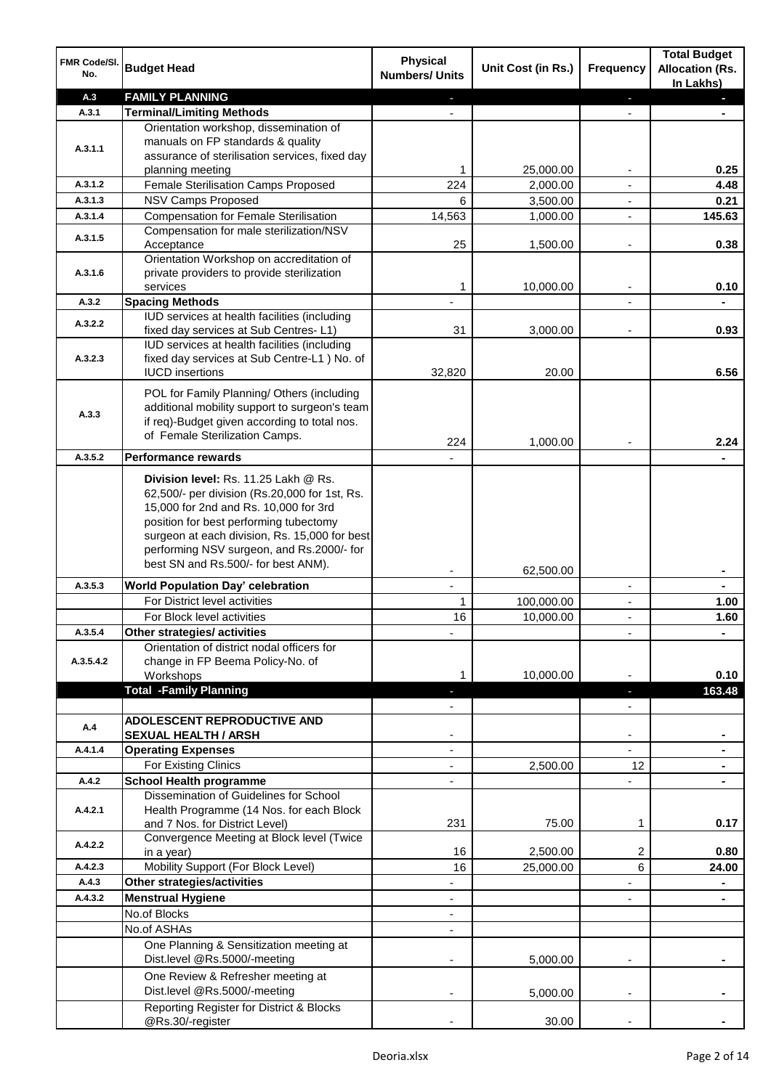| FMR Code/SI.<br>No. | <b>Budget Head</b>                                                                         | <b>Physical</b><br><b>Numbers/ Units</b> | Unit Cost (in Rs.)      | Frequency                                  | <b>Total Budget</b><br><b>Allocation (Rs.</b><br>In Lakhs) |
|---------------------|--------------------------------------------------------------------------------------------|------------------------------------------|-------------------------|--------------------------------------------|------------------------------------------------------------|
| A.3                 | <b>FAMILY PLANNING</b>                                                                     |                                          |                         | ٠                                          |                                                            |
| A.3.1               | <b>Terminal/Limiting Methods</b>                                                           |                                          |                         |                                            |                                                            |
|                     | Orientation workshop, dissemination of                                                     |                                          |                         |                                            |                                                            |
| A.3.1.1             | manuals on FP standards & quality<br>assurance of sterilisation services, fixed day        |                                          |                         |                                            |                                                            |
|                     | planning meeting                                                                           | 1                                        | 25,000.00               |                                            | 0.25                                                       |
| A.3.1.2             | Female Sterilisation Camps Proposed                                                        | 224                                      | 2,000.00                |                                            | 4.48                                                       |
| A.3.1.3             | <b>NSV Camps Proposed</b>                                                                  | 6                                        | 3,500.00                | $\blacksquare$                             | 0.21                                                       |
| A.3.1.4             | <b>Compensation for Female Sterilisation</b>                                               | 14,563                                   | 1,000.00                | $\blacksquare$                             | 145.63                                                     |
| A.3.1.5             | Compensation for male sterilization/NSV                                                    |                                          |                         |                                            |                                                            |
|                     | Acceptance                                                                                 | 25                                       | 1,500.00                | $\overline{a}$                             | 0.38                                                       |
|                     | Orientation Workshop on accreditation of                                                   |                                          |                         |                                            |                                                            |
| A.3.1.6             | private providers to provide sterilization<br>services                                     | 1                                        | 10,000.00               | $\blacksquare$                             | 0.10                                                       |
| A.3.2               | <b>Spacing Methods</b>                                                                     |                                          |                         |                                            |                                                            |
|                     | IUD services at health facilities (including                                               |                                          |                         |                                            |                                                            |
| A.3.2.2             | fixed day services at Sub Centres-L1)                                                      | 31                                       | 3.000.00                |                                            | 0.93                                                       |
|                     | IUD services at health facilities (including                                               |                                          |                         |                                            |                                                            |
| A.3.2.3             | fixed day services at Sub Centre-L1 ) No. of                                               |                                          |                         |                                            |                                                            |
|                     | <b>IUCD</b> insertions                                                                     | 32.820                                   | 20.00                   |                                            | 6.56                                                       |
|                     | POL for Family Planning/ Others (including                                                 |                                          |                         |                                            |                                                            |
| A.3.3               | additional mobility support to surgeon's team                                              |                                          |                         |                                            |                                                            |
|                     | if req)-Budget given according to total nos.<br>of Female Sterilization Camps.             |                                          |                         |                                            |                                                            |
|                     |                                                                                            | 224                                      | 1,000.00                |                                            | 2.24                                                       |
| A.3.5.2             | <b>Performance rewards</b>                                                                 |                                          |                         |                                            |                                                            |
|                     | Division level: Rs. 11.25 Lakh @ Rs.                                                       |                                          |                         |                                            |                                                            |
|                     | 62,500/- per division (Rs.20,000 for 1st, Rs.                                              |                                          |                         |                                            |                                                            |
|                     | 15,000 for 2nd and Rs. 10,000 for 3rd                                                      |                                          |                         |                                            |                                                            |
|                     | position for best performing tubectomy                                                     |                                          |                         |                                            |                                                            |
|                     | surgeon at each division, Rs. 15,000 for best<br>performing NSV surgeon, and Rs.2000/- for |                                          |                         |                                            |                                                            |
|                     | best SN and Rs.500/- for best ANM).                                                        |                                          |                         |                                            |                                                            |
|                     |                                                                                            |                                          | 62,500.00               |                                            |                                                            |
| A.3.5.3             | <b>World Population Day' celebration</b><br>For District level activities                  | $\mathbf{r}$                             |                         | $\blacksquare$                             | $\blacksquare$                                             |
|                     | For Block level activities                                                                 | 1<br>16                                  | 100,000.00<br>10,000.00 | $\overline{\phantom{a}}$<br>$\blacksquare$ | 1.00<br>1.60                                               |
| A.3.5.4             | Other strategies/ activities                                                               |                                          |                         |                                            |                                                            |
|                     | Orientation of district nodal officers for                                                 |                                          |                         |                                            |                                                            |
| A.3.5.4.2           | change in FP Beema Policy-No. of                                                           |                                          |                         |                                            |                                                            |
|                     | Workshops                                                                                  |                                          | 10,000.00               |                                            | 0.10                                                       |
|                     | <b>Total -Family Planning</b>                                                              |                                          |                         |                                            | 163.48                                                     |
|                     |                                                                                            |                                          |                         |                                            |                                                            |
| A.4                 | <b>ADOLESCENT REPRODUCTIVE AND</b>                                                         |                                          |                         |                                            |                                                            |
| A.4.1.4             | <b>SEXUAL HEALTH / ARSH</b><br><b>Operating Expenses</b>                                   |                                          |                         |                                            |                                                            |
|                     | For Existing Clinics                                                                       |                                          | 2,500.00                | 12                                         |                                                            |
| A.4.2               | <b>School Health programme</b>                                                             |                                          |                         |                                            |                                                            |
|                     | Dissemination of Guidelines for School                                                     |                                          |                         |                                            |                                                            |
| A.4.2.1             | Health Programme (14 Nos. for each Block                                                   |                                          |                         |                                            |                                                            |
|                     | and 7 Nos. for District Level)                                                             | 231                                      | 75.00                   | 1                                          | 0.17                                                       |
| A.4.2.2             | Convergence Meeting at Block level (Twice                                                  |                                          |                         |                                            |                                                            |
|                     | in a year)                                                                                 | 16                                       | 2,500.00                | 2                                          | 0.80                                                       |
| A.4.2.3             | Mobility Support (For Block Level)                                                         | 16                                       | 25,000.00               | 6                                          | 24.00                                                      |
| A.4.3               | <b>Other strategies/activities</b>                                                         |                                          |                         |                                            |                                                            |
| A.4.3.2             | <b>Menstrual Hygiene</b><br>No.of Blocks                                                   |                                          |                         |                                            |                                                            |
|                     | No.of ASHAs                                                                                |                                          |                         |                                            |                                                            |
|                     | One Planning & Sensitization meeting at                                                    |                                          |                         |                                            |                                                            |
|                     | Dist.level @Rs.5000/-meeting                                                               |                                          | 5,000.00                |                                            |                                                            |
|                     | One Review & Refresher meeting at                                                          |                                          |                         |                                            |                                                            |
|                     | Dist.level @Rs.5000/-meeting                                                               |                                          | 5,000.00                |                                            |                                                            |
|                     | Reporting Register for District & Blocks                                                   |                                          |                         |                                            |                                                            |
|                     | @Rs.30/-register                                                                           |                                          | 30.00                   |                                            |                                                            |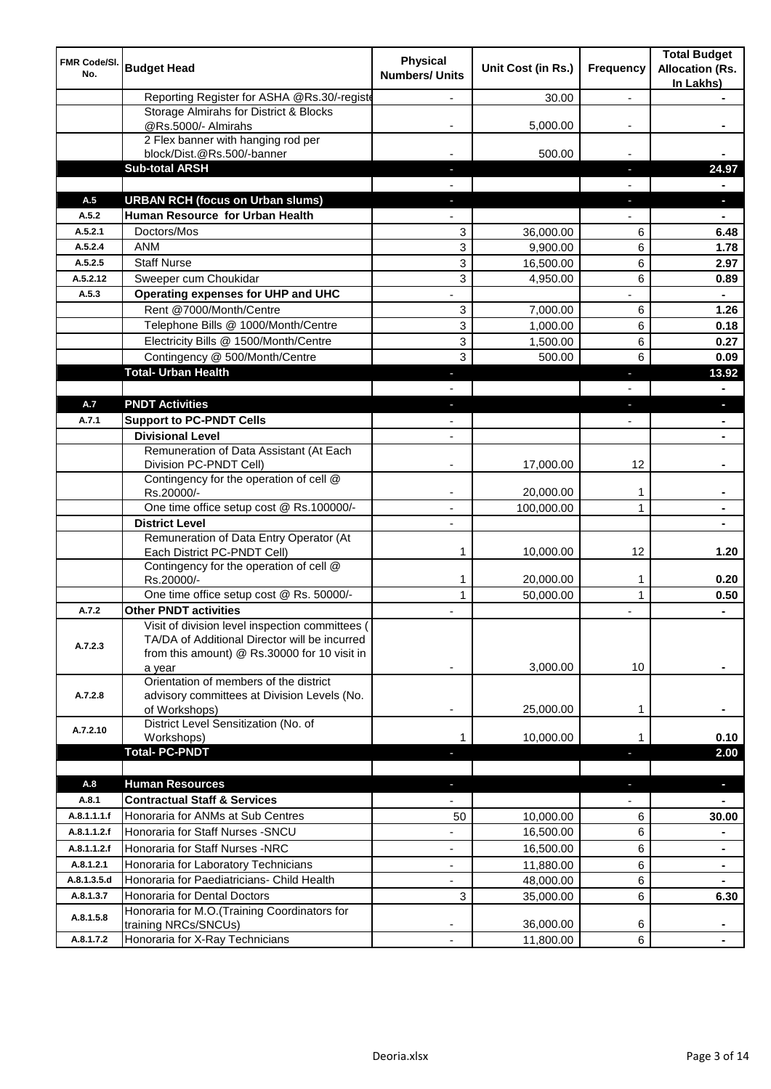| FMR Code/SI.<br>No. | <b>Budget Head</b>                                                                                                                                         | <b>Physical</b><br><b>Numbers/ Units</b> | Unit Cost (in Rs.) | Frequency      | <b>Total Budget</b><br><b>Allocation (Rs.</b><br>In Lakhs) |
|---------------------|------------------------------------------------------------------------------------------------------------------------------------------------------------|------------------------------------------|--------------------|----------------|------------------------------------------------------------|
|                     | Reporting Register for ASHA @Rs.30/-registe                                                                                                                |                                          | 30.00              | $\overline{a}$ |                                                            |
|                     | Storage Almirahs for District & Blocks<br>@Rs.5000/- Almirahs                                                                                              |                                          | 5,000.00           |                |                                                            |
|                     | 2 Flex banner with hanging rod per                                                                                                                         |                                          |                    |                |                                                            |
|                     | block/Dist.@Rs.500/-banner<br><b>Sub-total ARSH</b>                                                                                                        |                                          | 500.00             | ı.             | 24.97                                                      |
|                     |                                                                                                                                                            |                                          |                    |                |                                                            |
| A.5                 | <b>URBAN RCH (focus on Urban slums)</b>                                                                                                                    |                                          |                    | J,             |                                                            |
| A.5.2               | Human Resource for Urban Health                                                                                                                            |                                          |                    |                |                                                            |
| A.5.2.1             | Doctors/Mos                                                                                                                                                | 3                                        | 36,000.00          | 6              | 6.48                                                       |
| A.5.2.4             | <b>ANM</b>                                                                                                                                                 | 3                                        | 9,900.00           | 6              | 1.78                                                       |
| A.5.2.5             | <b>Staff Nurse</b>                                                                                                                                         | 3                                        | 16,500.00          | 6              | 2.97                                                       |
| A.5.2.12            | Sweeper cum Choukidar                                                                                                                                      | 3                                        | 4,950.00           | 6              | 0.89                                                       |
| A.5.3               | Operating expenses for UHP and UHC                                                                                                                         |                                          |                    |                |                                                            |
|                     | Rent @7000/Month/Centre                                                                                                                                    | 3                                        | 7,000.00           | 6              | 1.26                                                       |
|                     | Telephone Bills @ 1000/Month/Centre                                                                                                                        | 3                                        | 1,000.00           | 6              | 0.18                                                       |
|                     | Electricity Bills @ 1500/Month/Centre                                                                                                                      | 3                                        | 1,500.00           | 6              | 0.27                                                       |
|                     | Contingency @ 500/Month/Centre                                                                                                                             | 3                                        | 500.00             | 6              | 0.09                                                       |
|                     | <b>Total- Urban Health</b>                                                                                                                                 |                                          |                    | п              | 13.92                                                      |
|                     |                                                                                                                                                            |                                          |                    |                |                                                            |
| A.7                 | <b>PNDT Activities</b>                                                                                                                                     |                                          |                    |                |                                                            |
| A.7.1               | <b>Support to PC-PNDT Cells</b>                                                                                                                            |                                          |                    |                |                                                            |
|                     | <b>Divisional Level</b>                                                                                                                                    | $\overline{\phantom{a}}$                 |                    |                |                                                            |
|                     | Remuneration of Data Assistant (At Each<br>Division PC-PNDT Cell)                                                                                          |                                          | 17,000.00          | 12             |                                                            |
|                     | Contingency for the operation of cell @<br>Rs.20000/-                                                                                                      |                                          | 20,000.00          | 1              |                                                            |
|                     | One time office setup cost @ Rs.100000/-                                                                                                                   | $\blacksquare$                           | 100,000.00         | 1              |                                                            |
|                     | <b>District Level</b>                                                                                                                                      |                                          |                    |                |                                                            |
|                     | Remuneration of Data Entry Operator (At<br>Each District PC-PNDT Cell)                                                                                     | 1                                        | 10,000.00          | 12             | 1.20                                                       |
|                     | Contingency for the operation of cell @                                                                                                                    | 1                                        | 20,000.00          | 1              | 0.20                                                       |
|                     | Rs.20000/-<br>One time office setup cost @ Rs. 50000/-                                                                                                     | $\mathbf{1}$                             | 50,000.00          | $\mathbf{1}$   | 0.50                                                       |
| A.7.2               | <b>Other PNDT activities</b>                                                                                                                               |                                          |                    |                | $\blacksquare$                                             |
| A.7.2.3             | Visit of division level inspection committees (<br>TA/DA of Additional Director will be incurred<br>from this amount) @ Rs.30000 for 10 visit in<br>a year |                                          | 3,000.00           | 10             |                                                            |
| A.7.2.8             | Orientation of members of the district<br>advisory committees at Division Levels (No.<br>of Workshops)                                                     | ٠                                        | 25,000.00          | 1              |                                                            |
| A.7.2.10            | District Level Sensitization (No. of<br>Workshops)                                                                                                         | 1                                        | 10,000.00          |                | 0.10                                                       |
|                     | <b>Total-PC-PNDT</b>                                                                                                                                       |                                          |                    |                | 2.00                                                       |
| A.8                 | <b>Human Resources</b>                                                                                                                                     |                                          |                    | ٠              | $\blacksquare$                                             |
| A.8.1               | <b>Contractual Staff &amp; Services</b>                                                                                                                    |                                          |                    |                |                                                            |
| A.8.1.1.1.f         | Honoraria for ANMs at Sub Centres                                                                                                                          | 50                                       | 10,000.00          | 6              | 30.00                                                      |
| A.8.1.1.2.f         | Honoraria for Staff Nurses - SNCU                                                                                                                          |                                          | 16,500.00          | 6              |                                                            |
| A.8.1.1.2.f         | Honoraria for Staff Nurses -NRC                                                                                                                            | ٠                                        | 16,500.00          | 6              | $\blacksquare$                                             |
| A.8.1.2.1           | Honoraria for Laboratory Technicians                                                                                                                       | ÷,                                       | 11,880.00          | 6              | $\blacksquare$                                             |
| A.8.1.3.5.d         | Honoraria for Paediatricians- Child Health                                                                                                                 | $\overline{\phantom{0}}$                 | 48,000.00          | 6              | $\blacksquare$                                             |
| A.8.1.3.7           | Honoraria for Dental Doctors                                                                                                                               | 3                                        | 35,000.00          | 6              | 6.30                                                       |
| A.8.1.5.8           | Honoraria for M.O.(Training Coordinators for<br>training NRCs/SNCUs)                                                                                       |                                          | 36,000.00          | 6              |                                                            |
| A.8.1.7.2           | Honoraria for X-Ray Technicians                                                                                                                            | ÷,                                       | 11,800.00          | 6              |                                                            |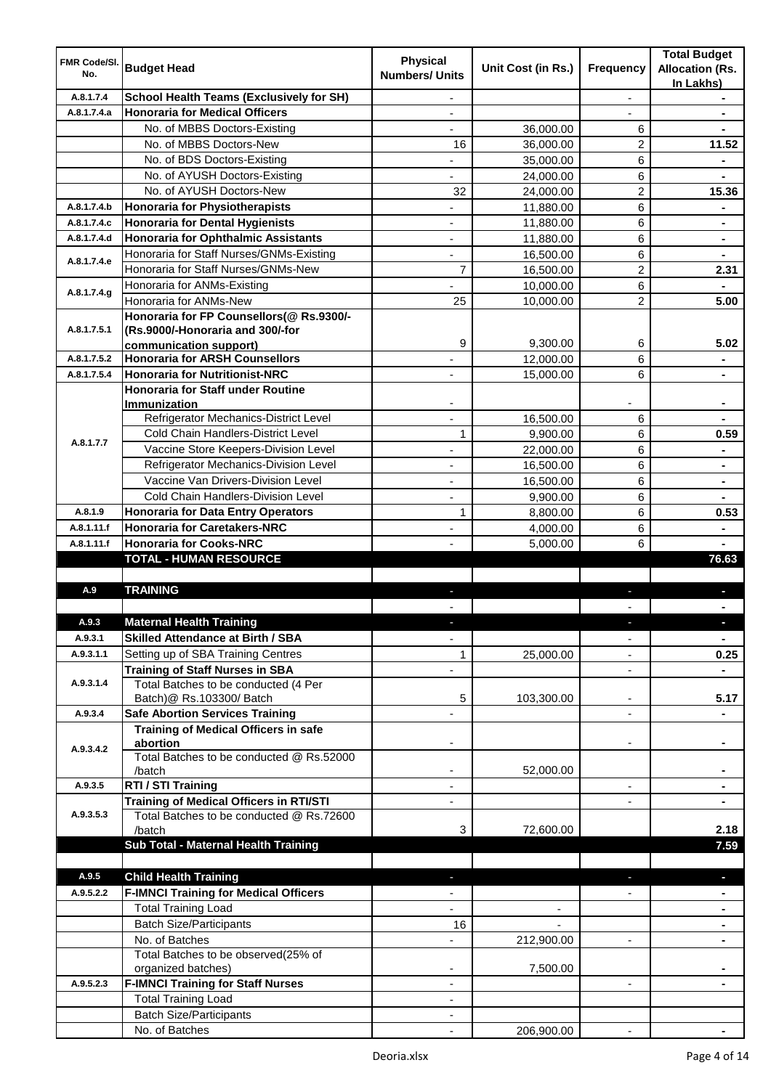| <b>FMR Code/SI.</b><br>No. | <b>Budget Head</b>                                                    | <b>Physical</b><br><b>Numbers/ Units</b> | Unit Cost (in Rs.)       | Frequency                | <b>Total Budget</b><br><b>Allocation (Rs.</b><br>In Lakhs) |
|----------------------------|-----------------------------------------------------------------------|------------------------------------------|--------------------------|--------------------------|------------------------------------------------------------|
| A.8.1.7.4                  | <b>School Health Teams (Exclusively for SH)</b>                       |                                          |                          | $\overline{a}$           |                                                            |
| A.8.1.7.4.a                | <b>Honoraria for Medical Officers</b>                                 |                                          |                          |                          |                                                            |
|                            | No. of MBBS Doctors-Existing                                          |                                          | 36,000.00                | 6                        |                                                            |
|                            | No. of MBBS Doctors-New                                               | 16                                       | 36,000.00                | 2                        | 11.52                                                      |
|                            | No. of BDS Doctors-Existing                                           |                                          | 35,000.00                | 6                        |                                                            |
|                            | No. of AYUSH Doctors-Existing                                         |                                          | 24,000.00                | 6                        |                                                            |
|                            | No. of AYUSH Doctors-New                                              | 32                                       | 24,000.00                | 2                        | 15.36                                                      |
| A.8.1.7.4.b                | <b>Honoraria for Physiotherapists</b>                                 |                                          | 11,880.00                | 6                        |                                                            |
| A.8.1.7.4.c                | <b>Honoraria for Dental Hygienists</b>                                |                                          | 11,880.00                | 6                        |                                                            |
| A.8.1.7.4.d                | <b>Honoraria for Ophthalmic Assistants</b>                            |                                          | 11,880.00                | 6                        | $\blacksquare$                                             |
| A.8.1.7.4.e                | Honoraria for Staff Nurses/GNMs-Existing                              |                                          | 16,500.00                | 6                        |                                                            |
|                            | Honoraria for Staff Nurses/GNMs-New                                   | $\overline{7}$                           | 16,500.00                | $\overline{2}$           | 2.31                                                       |
| A.8.1.7.4.g                | Honoraria for ANMs-Existing                                           |                                          | 10,000.00                | 6                        |                                                            |
|                            | Honoraria for ANMs-New                                                | 25                                       | 10,000.00                | $\overline{2}$           | 5.00                                                       |
|                            | Honoraria for FP Counsellors(@ Rs.9300/-                              |                                          |                          |                          |                                                            |
| A.8.1.7.5.1                | (Rs.9000/-Honoraria and 300/-for                                      |                                          |                          |                          |                                                            |
|                            | communication support)                                                | 9                                        | 9,300.00                 | 6                        | 5.02                                                       |
| A.8.1.7.5.2                | <b>Honoraria for ARSH Counsellors</b>                                 |                                          | 12,000.00                | 6                        | $\blacksquare$                                             |
| A.8.1.7.5.4                | <b>Honoraria for Nutritionist-NRC</b>                                 | $\overline{\phantom{0}}$                 | 15,000.00                | 6                        | $\blacksquare$                                             |
|                            | <b>Honoraria for Staff under Routine</b>                              |                                          |                          |                          |                                                            |
|                            | <b>Immunization</b><br>Refrigerator Mechanics-District Level          |                                          |                          |                          |                                                            |
|                            | Cold Chain Handlers-District Level                                    |                                          | 16,500.00                | 6                        |                                                            |
| A.8.1.7.7                  | Vaccine Store Keepers-Division Level                                  | 1                                        | 9,900.00                 | 6                        | 0.59                                                       |
|                            | Refrigerator Mechanics-Division Level                                 | ä,                                       | 22,000.00                | 6                        | $\blacksquare$                                             |
|                            | Vaccine Van Drivers-Division Level                                    |                                          | 16,500.00                | 6                        | $\blacksquare$                                             |
|                            |                                                                       |                                          | 16,500.00                | 6                        | $\blacksquare$                                             |
|                            | Cold Chain Handlers-Division Level                                    | ä,                                       | 9,900.00                 | 6                        |                                                            |
| A.8.1.9                    | <b>Honoraria for Data Entry Operators</b>                             | $\mathbf{1}$                             | 8,800.00                 | 6                        | 0.53                                                       |
| A.8.1.11.f<br>A.8.1.11.f   | <b>Honoraria for Caretakers-NRC</b><br><b>Honoraria for Cooks-NRC</b> | ÷,                                       | 4,000.00                 | 6<br>6                   |                                                            |
|                            | <b>TOTAL - HUMAN RESOURCE</b>                                         |                                          | 5,000.00                 |                          | 76.63                                                      |
|                            |                                                                       |                                          |                          |                          |                                                            |
| A.9                        | <b>TRAINING</b>                                                       | ٠                                        |                          | ٠                        | p                                                          |
|                            |                                                                       |                                          |                          |                          |                                                            |
| A.9.3                      | <b>Maternal Health Training</b>                                       |                                          |                          |                          |                                                            |
| A.9.3.1                    | <b>Skilled Attendance at Birth / SBA</b>                              | ÷,                                       |                          | $\overline{\phantom{a}}$ | $\blacksquare$                                             |
| A.9.3.1.1                  | Setting up of SBA Training Centres                                    | 1                                        | 25,000.00                | ٠                        | 0.25                                                       |
|                            | <b>Training of Staff Nurses in SBA</b>                                | $\overline{\phantom{0}}$                 |                          | $\overline{\phantom{a}}$ |                                                            |
| A.9.3.1.4                  | Total Batches to be conducted (4 Per                                  |                                          |                          |                          |                                                            |
|                            | Batch)@ Rs.103300/ Batch                                              | 5                                        | 103,300.00               | ٠                        | 5.17                                                       |
| A.9.3.4                    | <b>Safe Abortion Services Training</b>                                |                                          |                          |                          |                                                            |
|                            | <b>Training of Medical Officers in safe</b>                           |                                          |                          |                          |                                                            |
|                            | abortion                                                              |                                          |                          | -                        |                                                            |
| A.9.3.4.2                  | Total Batches to be conducted @ Rs.52000                              |                                          |                          |                          |                                                            |
|                            | /batch                                                                | $\overline{\phantom{a}}$                 | 52,000.00                |                          | $\blacksquare$                                             |
| A.9.3.5                    | RTI / STI Training                                                    | $\blacksquare$                           |                          | ٠                        | $\blacksquare$                                             |
|                            | <b>Training of Medical Officers in RTI/STI</b>                        | $\overline{\phantom{a}}$                 |                          | L,                       | $\blacksquare$                                             |
| A.9.3.5.3                  | Total Batches to be conducted @ Rs.72600                              |                                          |                          |                          |                                                            |
|                            | /batch                                                                | 3                                        | 72,600.00                |                          | 2.18                                                       |
|                            | Sub Total - Maternal Health Training                                  |                                          |                          |                          | 7.59                                                       |
|                            |                                                                       |                                          |                          |                          |                                                            |
| A.9.5                      | <b>Child Health Training</b>                                          |                                          |                          |                          | ٠                                                          |
| A.9.5.2.2                  | <b>F-IMNCI Training for Medical Officers</b>                          |                                          |                          |                          |                                                            |
|                            | <b>Total Training Load</b>                                            | $\overline{\phantom{0}}$                 | $\overline{\phantom{a}}$ |                          | $\blacksquare$                                             |
|                            | <b>Batch Size/Participants</b>                                        | 16                                       |                          |                          | ٠                                                          |
|                            | No. of Batches                                                        | $\overline{\phantom{0}}$                 | 212,900.00               | ۰                        | ٠                                                          |
|                            | Total Batches to be observed(25% of                                   |                                          |                          |                          |                                                            |
|                            | organized batches)                                                    |                                          | 7,500.00                 |                          |                                                            |
| A.9.5.2.3                  | <b>F-IMNCI Training for Staff Nurses</b>                              | ٠                                        |                          | $\blacksquare$           |                                                            |
|                            | <b>Total Training Load</b>                                            | ٠                                        |                          |                          |                                                            |
|                            | <b>Batch Size/Participants</b>                                        |                                          |                          |                          |                                                            |
|                            | No. of Batches                                                        |                                          | 206,900.00               |                          |                                                            |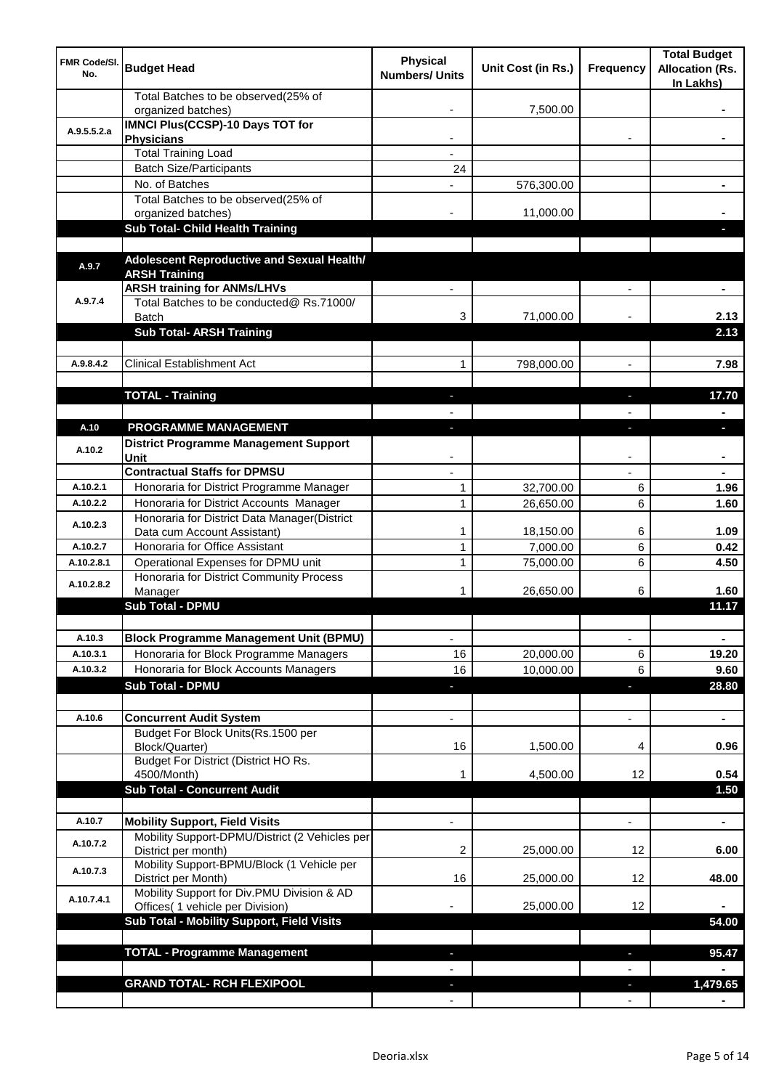| <b>FMR Code/SI.</b><br>No. | <b>Budget Head</b>                                                             | <b>Physical</b><br><b>Numbers/ Units</b> | Unit Cost (in Rs.) | Frequency                | <b>Total Budget</b><br><b>Allocation (Rs.</b><br>In Lakhs) |
|----------------------------|--------------------------------------------------------------------------------|------------------------------------------|--------------------|--------------------------|------------------------------------------------------------|
|                            | Total Batches to be observed(25% of<br>organized batches)                      |                                          | 7,500.00           |                          |                                                            |
| A.9.5.5.2.a                | <b>IMNCI Plus(CCSP)-10 Days TOT for</b>                                        |                                          |                    |                          |                                                            |
|                            | <b>Physicians</b>                                                              |                                          |                    |                          |                                                            |
|                            | <b>Total Training Load</b>                                                     |                                          |                    |                          |                                                            |
|                            | <b>Batch Size/Participants</b><br>No. of Batches                               | 24                                       |                    |                          |                                                            |
|                            | Total Batches to be observed(25% of                                            |                                          | 576,300.00         |                          |                                                            |
|                            | organized batches)                                                             |                                          | 11,000.00          |                          |                                                            |
|                            | Sub Total- Child Health Training                                               |                                          |                    |                          |                                                            |
|                            |                                                                                |                                          |                    |                          |                                                            |
| A.9.7                      | Adolescent Reproductive and Sexual Health/                                     |                                          |                    |                          |                                                            |
|                            | <b>ARSH Training</b>                                                           |                                          |                    |                          |                                                            |
|                            | <b>ARSH training for ANMs/LHVs</b>                                             |                                          |                    |                          |                                                            |
| A.9.7.4                    | Total Batches to be conducted@ Rs.71000/                                       |                                          |                    |                          |                                                            |
|                            | Batch<br><b>Sub Total- ARSH Training</b>                                       | 3                                        | 71,000.00          |                          | 2.13<br>2.13                                               |
|                            |                                                                                |                                          |                    |                          |                                                            |
| A.9.8.4.2                  | <b>Clinical Establishment Act</b>                                              | 1                                        | 798,000.00         | $\overline{a}$           | 7.98                                                       |
|                            |                                                                                |                                          |                    |                          |                                                            |
|                            | <b>TOTAL - Training</b>                                                        |                                          |                    |                          | 17.70                                                      |
|                            |                                                                                |                                          |                    |                          |                                                            |
| A.10                       | PROGRAMME MANAGEMENT                                                           |                                          |                    |                          | o.                                                         |
|                            | <b>District Programme Management Support</b>                                   |                                          |                    |                          |                                                            |
| A.10.2                     | Unit                                                                           |                                          |                    |                          |                                                            |
|                            | <b>Contractual Staffs for DPMSU</b>                                            |                                          |                    |                          |                                                            |
| A.10.2.1                   | Honoraria for District Programme Manager                                       | 1                                        | 32,700.00          | 6                        | 1.96                                                       |
| A.10.2.2                   | Honoraria for District Accounts Manager                                        | $\mathbf{1}$                             | 26,650.00          | 6                        | 1.60                                                       |
| A.10.2.3                   | Honoraria for District Data Manager(District                                   |                                          |                    |                          |                                                            |
|                            | Data cum Account Assistant)                                                    | 1                                        | 18,150.00          | 6                        | 1.09                                                       |
| A.10.2.7                   | Honoraria for Office Assistant                                                 | 1                                        | 7,000.00           | 6                        | 0.42                                                       |
| A.10.2.8.1                 | Operational Expenses for DPMU unit<br>Honoraria for District Community Process | 1                                        | 75,000.00          | 6                        | 4.50                                                       |
| A.10.2.8.2                 | Manager                                                                        | 1                                        | 26,650.00          | 6                        | 1.60                                                       |
|                            | <b>Sub Total - DPMU</b>                                                        |                                          |                    |                          | 11.17                                                      |
|                            |                                                                                |                                          |                    |                          |                                                            |
| A.10.3                     | <b>Block Programme Management Unit (BPMU)</b>                                  | $\overline{\phantom{a}}$                 |                    | $\overline{\phantom{a}}$ | $\blacksquare$                                             |
| A.10.3.1                   | Honoraria for Block Programme Managers                                         | 16                                       | 20,000.00          | 6                        | 19.20                                                      |
| A.10.3.2                   | Honoraria for Block Accounts Managers                                          | 16                                       | 10,000.00          | 6                        | 9.60                                                       |
|                            | <b>Sub Total - DPMU</b>                                                        | ٠                                        |                    | J,                       | 28.80                                                      |
|                            |                                                                                |                                          |                    |                          |                                                            |
| A.10.6                     | <b>Concurrent Audit System</b>                                                 |                                          |                    | $\overline{\phantom{0}}$ | $\blacksquare$                                             |
|                            | Budget For Block Units(Rs.1500 per                                             |                                          |                    |                          |                                                            |
|                            | Block/Quarter)                                                                 | 16                                       | 1,500.00           | 4                        | 0.96                                                       |
|                            | Budget For District (District HO Rs.<br>4500/Month)                            |                                          | 4,500.00           | 12                       | 0.54                                                       |
|                            | <b>Sub Total - Concurrent Audit</b>                                            |                                          |                    |                          | 1.50                                                       |
|                            |                                                                                |                                          |                    |                          |                                                            |
| A.10.7                     | <b>Mobility Support, Field Visits</b>                                          |                                          |                    | $\overline{a}$           | ä,                                                         |
|                            | Mobility Support-DPMU/District (2 Vehicles per                                 |                                          |                    |                          |                                                            |
| A.10.7.2                   | District per month)                                                            | 2                                        | 25,000.00          | 12                       | 6.00                                                       |
| A.10.7.3                   | Mobility Support-BPMU/Block (1 Vehicle per                                     |                                          |                    |                          |                                                            |
|                            | District per Month)                                                            | 16                                       | 25,000.00          | 12                       | 48.00                                                      |
| A.10.7.4.1                 | Mobility Support for Div.PMU Division & AD<br>Offices( 1 vehicle per Division) |                                          | 25,000.00          | 12                       |                                                            |
|                            | Sub Total - Mobility Support, Field Visits                                     |                                          |                    |                          | 54.00                                                      |
|                            |                                                                                |                                          |                    |                          |                                                            |
|                            | <b>TOTAL - Programme Management</b>                                            |                                          |                    | ı.                       | 95.47                                                      |
|                            |                                                                                |                                          |                    |                          |                                                            |
|                            | <b>GRAND TOTAL- RCH FLEXIPOOL</b>                                              |                                          |                    | a,                       | 1,479.65                                                   |
|                            |                                                                                |                                          |                    |                          |                                                            |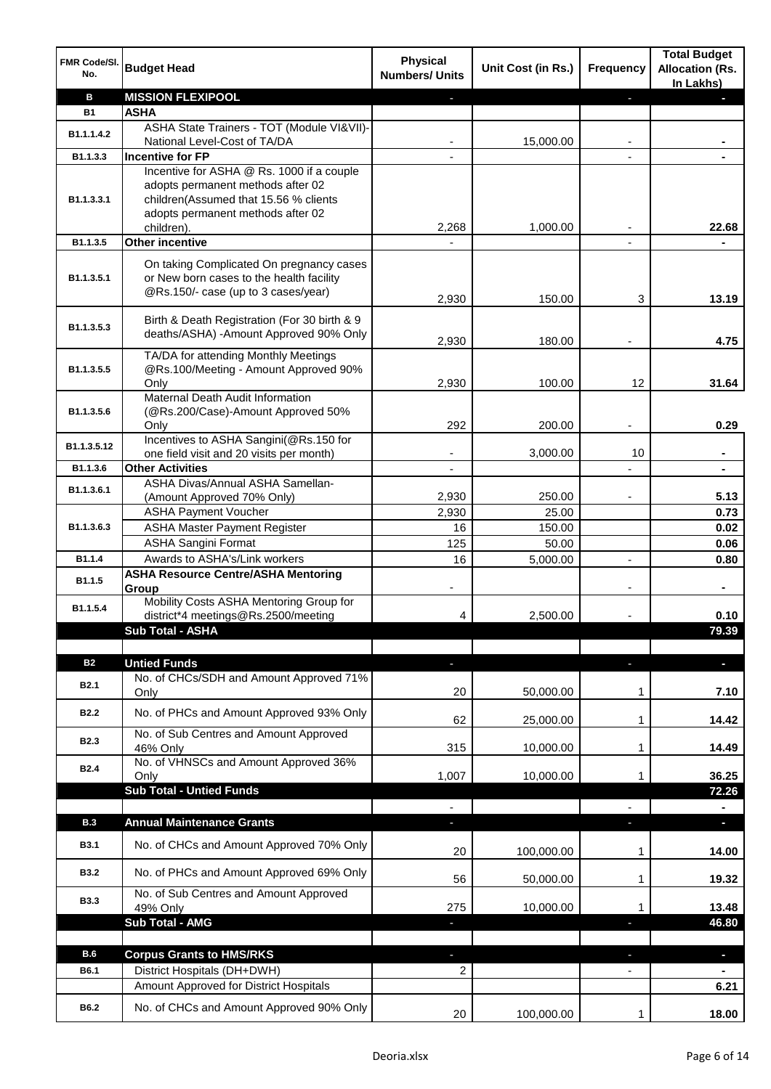| FMR Code/SI.<br>No. | <b>Budget Head</b>                                                         | <b>Physical</b><br><b>Numbers/ Units</b> | Unit Cost (in Rs.) | Frequency | <b>Total Budget</b><br><b>Allocation (Rs.</b><br>In Lakhs) |
|---------------------|----------------------------------------------------------------------------|------------------------------------------|--------------------|-----------|------------------------------------------------------------|
| в                   | <b>MISSION FLEXIPOOL</b>                                                   |                                          |                    |           |                                                            |
| <b>B1</b>           | <b>ASHA</b>                                                                |                                          |                    |           |                                                            |
| B1.1.1.4.2          | ASHA State Trainers - TOT (Module VI&VII)-                                 |                                          |                    |           |                                                            |
|                     | National Level-Cost of TA/DA                                               |                                          | 15,000.00          |           |                                                            |
| B1.1.3.3            | <b>Incentive for FP</b>                                                    |                                          |                    |           |                                                            |
|                     | Incentive for ASHA @ Rs. 1000 if a couple                                  |                                          |                    |           |                                                            |
|                     | adopts permanent methods after 02                                          |                                          |                    |           |                                                            |
| B1.1.3.3.1          | children(Assumed that 15.56 % clients<br>adopts permanent methods after 02 |                                          |                    |           |                                                            |
|                     | children).                                                                 | 2,268                                    | 1,000.00           |           | 22.68                                                      |
| B1.1.3.5            | <b>Other incentive</b>                                                     |                                          |                    |           |                                                            |
|                     |                                                                            |                                          |                    |           |                                                            |
|                     | On taking Complicated On pregnancy cases                                   |                                          |                    |           |                                                            |
| B1.1.3.5.1          | or New born cases to the health facility                                   |                                          |                    |           |                                                            |
|                     | @Rs.150/- case (up to 3 cases/year)                                        | 2,930                                    | 150.00             | 3         | 13.19                                                      |
|                     | Birth & Death Registration (For 30 birth & 9                               |                                          |                    |           |                                                            |
| B1.1.3.5.3          | deaths/ASHA) -Amount Approved 90% Only                                     |                                          |                    |           |                                                            |
|                     |                                                                            | 2,930                                    | 180.00             |           | 4.75                                                       |
|                     | TA/DA for attending Monthly Meetings                                       |                                          |                    |           |                                                            |
| B1.1.3.5.5          | @Rs.100/Meeting - Amount Approved 90%                                      |                                          |                    |           |                                                            |
|                     | Only<br>Maternal Death Audit Information                                   | 2,930                                    | 100.00             | 12        | 31.64                                                      |
| B1.1.3.5.6          | (@Rs.200/Case)-Amount Approved 50%                                         |                                          |                    |           |                                                            |
|                     | Only                                                                       | 292                                      | 200.00             |           | 0.29                                                       |
|                     | Incentives to ASHA Sangini(@Rs.150 for                                     |                                          |                    |           |                                                            |
| B1.1.3.5.12         | one field visit and 20 visits per month)                                   | ۰                                        | 3,000.00           | 10        | $\blacksquare$                                             |
| B1.1.3.6            | <b>Other Activities</b>                                                    | $\overline{\phantom{a}}$                 |                    |           | $\blacksquare$                                             |
| B1.1.3.6.1          | ASHA Divas/Annual ASHA Samellan-                                           |                                          |                    |           |                                                            |
|                     | (Amount Approved 70% Only)                                                 | 2,930                                    | 250.00             |           | 5.13                                                       |
|                     | <b>ASHA Payment Voucher</b>                                                | 2,930                                    | 25.00              |           | 0.73                                                       |
| B1.1.3.6.3          | <b>ASHA Master Payment Register</b>                                        | 16                                       | 150.00             |           | 0.02                                                       |
|                     | <b>ASHA Sangini Format</b>                                                 | 125                                      | 50.00              |           | 0.06                                                       |
| B <sub>1.1.4</sub>  | Awards to ASHA's/Link workers                                              | 16                                       | 5,000.00           | ä,        | 0.80                                                       |
| B1.1.5              | <b>ASHA Resource Centre/ASHA Mentoring</b>                                 |                                          |                    |           |                                                            |
|                     | Group                                                                      |                                          |                    |           |                                                            |
| B1.1.5.4            | Mobility Costs ASHA Mentoring Group for                                    |                                          |                    |           |                                                            |
|                     | district*4 meetings@Rs.2500/meeting                                        | 4                                        | 2,500.00           |           | 0.10                                                       |
|                     | <b>Sub Total - ASHA</b>                                                    |                                          |                    |           | 79.39                                                      |
|                     |                                                                            |                                          |                    |           |                                                            |
| <b>B2</b>           | <b>Untied Funds</b><br>No. of CHCs/SDH and Amount Approved 71%             | ٠                                        |                    |           | $\blacksquare$                                             |
| <b>B2.1</b>         | Only                                                                       | 20                                       | 50,000.00          | 1         | 7.10                                                       |
|                     |                                                                            |                                          |                    |           |                                                            |
| <b>B2.2</b>         | No. of PHCs and Amount Approved 93% Only                                   | 62                                       | 25,000.00          | 1         | 14.42                                                      |
|                     | No. of Sub Centres and Amount Approved                                     |                                          |                    |           |                                                            |
| <b>B2.3</b>         | 46% Only                                                                   | 315                                      | 10,000.00          | 1         | 14.49                                                      |
| <b>B2.4</b>         | No. of VHNSCs and Amount Approved 36%                                      |                                          |                    |           |                                                            |
|                     | Only                                                                       | 1,007                                    | 10,000.00          | 1         | 36.25                                                      |
|                     | <b>Sub Total - Untied Funds</b>                                            |                                          |                    |           | 72.26                                                      |
|                     |                                                                            |                                          |                    |           |                                                            |
| <b>B.3</b>          | <b>Annual Maintenance Grants</b>                                           | E.                                       |                    |           | D.                                                         |
| <b>B3.1</b>         | No. of CHCs and Amount Approved 70% Only                                   |                                          |                    |           |                                                            |
|                     |                                                                            | 20                                       | 100,000.00         | 1         | 14.00                                                      |
| <b>B3.2</b>         | No. of PHCs and Amount Approved 69% Only                                   | 56                                       | 50,000.00          | 1         | 19.32                                                      |
|                     | No. of Sub Centres and Amount Approved                                     |                                          |                    |           |                                                            |
| <b>B3.3</b>         | 49% Only                                                                   | 275                                      | 10,000.00          | 1         | 13.48                                                      |
|                     | <b>Sub Total - AMG</b>                                                     | E.                                       |                    | J,        | 46.80                                                      |
|                     |                                                                            |                                          |                    |           |                                                            |
| <b>B.6</b>          | <b>Corpus Grants to HMS/RKS</b>                                            |                                          |                    |           | o.                                                         |
| <b>B6.1</b>         | District Hospitals (DH+DWH)                                                | 2                                        |                    |           |                                                            |
|                     | Amount Approved for District Hospitals                                     |                                          |                    |           | 6.21                                                       |
|                     |                                                                            |                                          |                    |           |                                                            |
| B6.2                | No. of CHCs and Amount Approved 90% Only                                   | 20                                       | 100,000.00         | 1         | 18.00                                                      |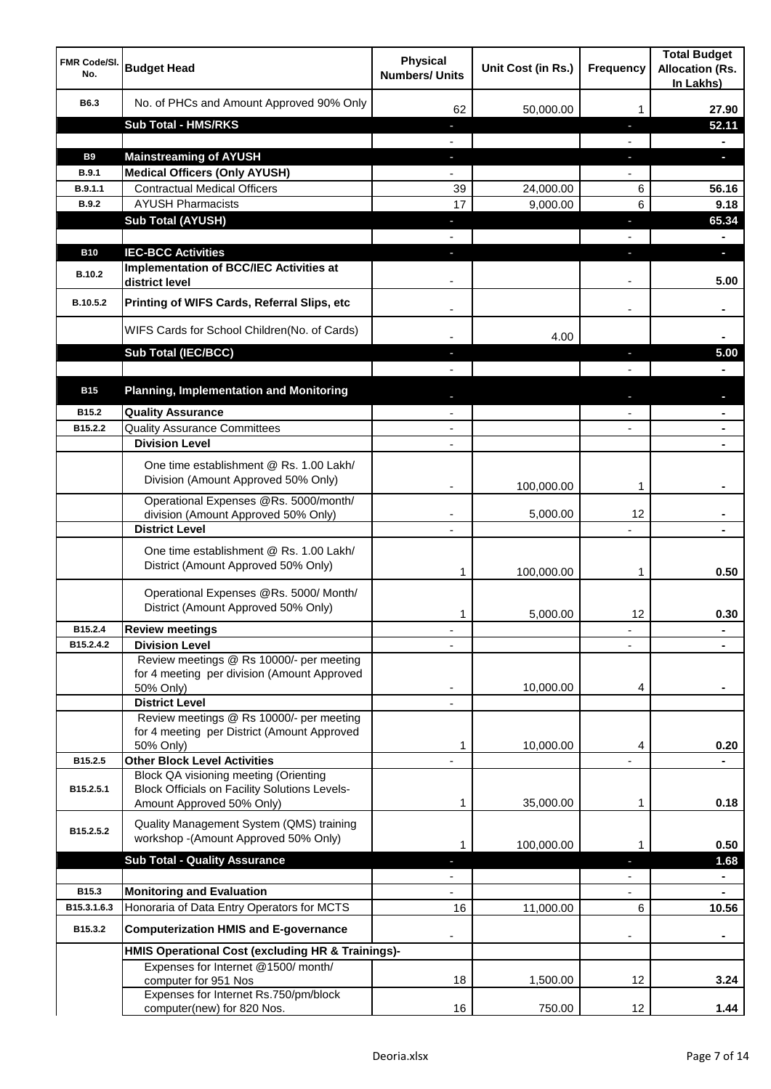| <b>FMR Code/SI.</b><br>No.  | <b>Budget Head</b>                                                                                   | <b>Physical</b><br><b>Numbers/ Units</b> | Unit Cost (in Rs.) | <b>Frequency</b>  | <b>Total Budget</b><br><b>Allocation (Rs.</b><br>In Lakhs) |
|-----------------------------|------------------------------------------------------------------------------------------------------|------------------------------------------|--------------------|-------------------|------------------------------------------------------------|
| B6.3                        | No. of PHCs and Amount Approved 90% Only                                                             | 62                                       | 50,000.00          | 1                 | 27.90                                                      |
|                             | <b>Sub Total - HMS/RKS</b>                                                                           | ٠                                        |                    | J,                | 52.11                                                      |
|                             |                                                                                                      |                                          |                    |                   |                                                            |
| <b>B9</b>                   | <b>Mainstreaming of AYUSH</b>                                                                        | J,                                       |                    | T                 | o.                                                         |
| B.9.1                       | <b>Medical Officers (Only AYUSH)</b>                                                                 |                                          |                    |                   |                                                            |
| B.9.1.1                     | <b>Contractual Medical Officers</b>                                                                  | 39                                       | 24,000.00          | 6                 | 56.16                                                      |
| <b>B.9.2</b>                | <b>AYUSH Pharmacists</b>                                                                             | 17                                       | 9,000.00           | 6                 | 9.18                                                       |
|                             | <b>Sub Total (AYUSH)</b>                                                                             | ٠                                        |                    | J,                | 65.34                                                      |
|                             |                                                                                                      |                                          |                    |                   |                                                            |
| <b>B10</b><br><b>B.10.2</b> | <b>IEC-BCC Activities</b><br><b>Implementation of BCC/IEC Activities at</b><br>district level        |                                          |                    | ı.                | н<br>5.00                                                  |
| B.10.5.2                    | Printing of WIFS Cards, Referral Slips, etc                                                          |                                          |                    | $\blacksquare$    |                                                            |
|                             | WIFS Cards for School Children(No. of Cards)                                                         |                                          | 4.00               |                   |                                                            |
|                             | Sub Total (IEC/BCC)                                                                                  |                                          |                    | ı                 | 5.00                                                       |
|                             |                                                                                                      |                                          |                    |                   |                                                            |
| <b>B15</b>                  | <b>Planning, Implementation and Monitoring</b>                                                       |                                          |                    |                   |                                                            |
| B15.2                       | <b>Quality Assurance</b>                                                                             |                                          |                    |                   |                                                            |
| B15.2.2                     | <b>Quality Assurance Committees</b>                                                                  | $\overline{\phantom{a}}$                 |                    |                   |                                                            |
|                             | <b>Division Level</b>                                                                                | $\blacksquare$                           |                    |                   | $\blacksquare$                                             |
|                             | One time establishment @ Rs. 1.00 Lakh/<br>Division (Amount Approved 50% Only)                       |                                          | 100,000.00         | 1                 |                                                            |
|                             | Operational Expenses @Rs. 5000/month/<br>division (Amount Approved 50% Only)                         | $\overline{\phantom{a}}$                 | 5,000.00           | 12                |                                                            |
|                             | <b>District Level</b>                                                                                | $\overline{\phantom{a}}$                 |                    |                   |                                                            |
|                             | One time establishment @ Rs. 1.00 Lakh/<br>District (Amount Approved 50% Only)                       | 1                                        | 100,000.00         | 1                 | 0.50                                                       |
|                             | Operational Expenses @Rs. 5000/ Month/<br>District (Amount Approved 50% Only)                        | 1                                        | 5,000.00           | 12                | 0.30                                                       |
| B15.2.4                     | <b>Review meetings</b>                                                                               | ٠                                        |                    | ٠                 |                                                            |
| B15.2.4.2                   | <b>Division Level</b>                                                                                |                                          |                    |                   |                                                            |
|                             | Review meetings @ Rs 10000/- per meeting<br>for 4 meeting per division (Amount Approved<br>50% Only) |                                          | 10,000.00          | 4                 |                                                            |
|                             | <b>District Level</b><br>Review meetings @ Rs 10000/- per meeting                                    |                                          |                    |                   |                                                            |
|                             | for 4 meeting per District (Amount Approved                                                          |                                          |                    |                   |                                                            |
|                             | 50% Only)                                                                                            | 1                                        | 10,000.00          | 4                 | 0.20                                                       |
| B15.2.5                     | <b>Other Block Level Activities</b>                                                                  |                                          |                    |                   |                                                            |
| B15.2.5.1                   | Block QA visioning meeting (Orienting<br><b>Block Officials on Facility Solutions Levels-</b>        |                                          |                    |                   |                                                            |
|                             | Amount Approved 50% Only)                                                                            | 1                                        | 35,000.00          | 1                 | 0.18                                                       |
| B15.2.5.2                   | Quality Management System (QMS) training<br>workshop -(Amount Approved 50% Only)                     | 1                                        | 100,000.00         | 1                 | 0.50                                                       |
|                             | <b>Sub Total - Quality Assurance</b>                                                                 |                                          |                    |                   | 1.68                                                       |
|                             |                                                                                                      |                                          |                    |                   |                                                            |
| B15.3                       | <b>Monitoring and Evaluation</b>                                                                     |                                          |                    |                   |                                                            |
| B15.3.1.6.3                 | Honoraria of Data Entry Operators for MCTS                                                           | 16                                       | 11,000.00          | 6                 | 10.56                                                      |
| B15.3.2                     | <b>Computerization HMIS and E-governance</b>                                                         |                                          |                    |                   |                                                            |
|                             | HMIS Operational Cost (excluding HR & Trainings)-                                                    |                                          |                    |                   |                                                            |
|                             | Expenses for Internet @1500/month/<br>computer for 951 Nos                                           | 18                                       | 1,500.00           | 12                | 3.24                                                       |
|                             | Expenses for Internet Rs.750/pm/block<br>computer(new) for 820 Nos.                                  | 16                                       | 750.00             | $12 \overline{ }$ | 1.44                                                       |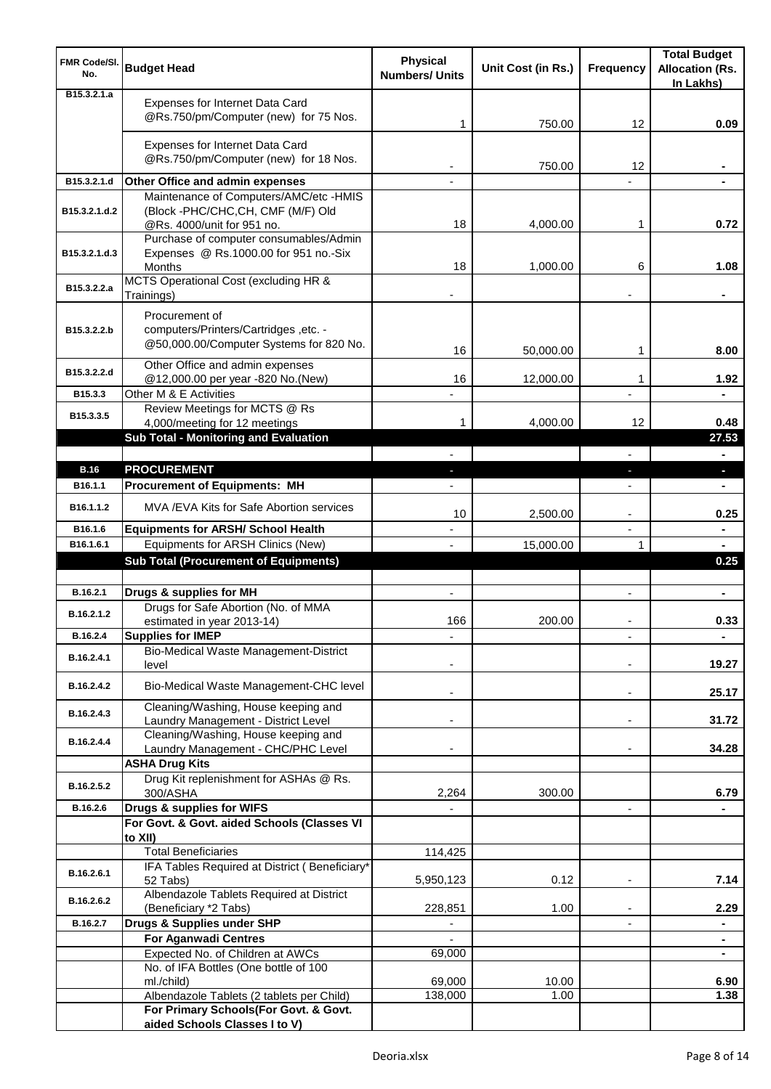| <b>FMR Code/SI.</b><br>No.   | <b>Budget Head</b>                                                                                        | <b>Physical</b><br><b>Numbers/ Units</b> | Unit Cost (in Rs.) | <b>Frequency</b>         | <b>Total Budget</b><br><b>Allocation (Rs.</b><br>In Lakhs) |
|------------------------------|-----------------------------------------------------------------------------------------------------------|------------------------------------------|--------------------|--------------------------|------------------------------------------------------------|
| B <sub>15</sub> , 3, 2, 1, a | Expenses for Internet Data Card<br>@Rs.750/pm/Computer (new) for 75 Nos.                                  | 1                                        | 750.00             | 12                       | 0.09                                                       |
|                              | Expenses for Internet Data Card<br>@Rs.750/pm/Computer (new) for 18 Nos.                                  |                                          | 750.00             | 12                       |                                                            |
| B15.3.2.1.d                  | Other Office and admin expenses                                                                           |                                          |                    |                          |                                                            |
| B15.3.2.1.d.2                | Maintenance of Computers/AMC/etc -HMIS<br>(Block -PHC/CHC,CH, CMF (M/F) Old<br>@Rs. 4000/unit for 951 no. | 18                                       | 4,000.00           | 1                        | 0.72                                                       |
| B15.3.2.1.d.3                | Purchase of computer consumables/Admin<br>Expenses @ Rs.1000.00 for 951 no.-Six<br>Months                 | 18                                       | 1,000.00           | 6                        | 1.08                                                       |
| B15.3.2.2.a                  | MCTS Operational Cost (excluding HR &<br>Trainings)                                                       |                                          |                    |                          |                                                            |
| B15.3.2.2.b                  | Procurement of<br>computers/Printers/Cartridges ,etc. -<br>@50,000.00/Computer Systems for 820 No.        | 16                                       | 50,000.00          | 1                        | 8.00                                                       |
| B15.3.2.2.d                  | Other Office and admin expenses<br>@12,000.00 per year -820 No.(New)                                      | 16                                       | 12,000.00          | 1                        | 1.92                                                       |
| B15.3.3                      | Other M & E Activities<br>Review Meetings for MCTS @ Rs                                                   |                                          |                    |                          |                                                            |
| B15.3.3.5                    | 4,000/meeting for 12 meetings<br>Sub Total - Monitoring and Evaluation                                    | 1                                        | 4,000.00           | 12                       | 0.48<br>27.53                                              |
|                              |                                                                                                           |                                          |                    |                          |                                                            |
| <b>B.16</b>                  | <b>PROCUREMENT</b>                                                                                        |                                          |                    | J,                       | $\overline{\phantom{a}}$                                   |
| B <sub>16.1.1</sub>          | <b>Procurement of Equipments: MH</b>                                                                      |                                          |                    |                          |                                                            |
| B16.1.1.2                    | MVA / EVA Kits for Safe Abortion services                                                                 | 10                                       | 2,500.00           | $\overline{a}$           | 0.25                                                       |
| B16.1.6                      | <b>Equipments for ARSH/ School Health</b>                                                                 |                                          |                    | $\overline{\phantom{a}}$ | ۰                                                          |
| B16.1.6.1                    | Equipments for ARSH Clinics (New)<br><b>Sub Total (Procurement of Equipments)</b>                         |                                          | 15,000.00          | 1                        | $\blacksquare$<br>0.25                                     |
|                              |                                                                                                           |                                          |                    |                          |                                                            |
| B.16.2.1                     | Drugs & supplies for MH                                                                                   | $\blacksquare$                           |                    | $\blacksquare$           | $\blacksquare$                                             |
| B.16.2.1.2                   | Drugs for Safe Abortion (No. of MMA<br>estimated in year 2013-14)                                         | 166                                      | 200.00             |                          | 0.33                                                       |
| B.16.2.4                     | <b>Supplies for IMEP</b>                                                                                  |                                          |                    |                          | ÷                                                          |
| B.16.2.4.1                   | Bio-Medical Waste Management-District<br>level                                                            |                                          |                    |                          | 19.27                                                      |
| B.16.2.4.2                   | Bio-Medical Waste Management-CHC level<br>Cleaning/Washing, House keeping and                             |                                          |                    | $\overline{\phantom{a}}$ | 25.17                                                      |
| B.16.2.4.3                   | Laundry Management - District Level<br>Cleaning/Washing, House keeping and                                |                                          |                    | $\blacksquare$           | 31.72                                                      |
| B.16.2.4.4                   | Laundry Management - CHC/PHC Level<br><b>ASHA Drug Kits</b>                                               |                                          |                    |                          | 34.28                                                      |
| B.16.2.5.2                   | Drug Kit replenishment for ASHAs @ Rs.<br>300/ASHA                                                        | 2,264                                    | 300.00             |                          | 6.79                                                       |
| B.16.2.6                     | Drugs & supplies for WIFS                                                                                 |                                          |                    | $\overline{\phantom{a}}$ |                                                            |
|                              | For Govt. & Govt. aided Schools (Classes VI<br>to XII)                                                    |                                          |                    |                          |                                                            |
|                              | <b>Total Beneficiaries</b>                                                                                | 114,425                                  |                    |                          |                                                            |
| B.16.2.6.1                   | IFA Tables Required at District (Beneficiary*                                                             |                                          | 0.12               | ٠                        | 7.14                                                       |
| B.16.2.6.2                   | 52 Tabs)<br>Albendazole Tablets Required at District<br>(Beneficiary *2 Tabs)                             | 5,950,123<br>228,851                     | 1.00               |                          | 2.29                                                       |
| B.16.2.7                     | Drugs & Supplies under SHP                                                                                |                                          |                    |                          | ۰                                                          |
|                              | <b>For Aganwadi Centres</b>                                                                               |                                          |                    |                          | $\blacksquare$                                             |
|                              | Expected No. of Children at AWCs                                                                          | 69,000                                   |                    |                          | $\blacksquare$                                             |
|                              | No. of IFA Bottles (One bottle of 100                                                                     |                                          |                    |                          |                                                            |
|                              | ml./child)<br>Albendazole Tablets (2 tablets per Child)                                                   | 69,000<br>138,000                        | 10.00<br>1.00      |                          | 6.90<br>1.38                                               |
|                              | For Primary Schools(For Govt. & Govt.                                                                     |                                          |                    |                          |                                                            |
|                              | aided Schools Classes I to V)                                                                             |                                          |                    |                          |                                                            |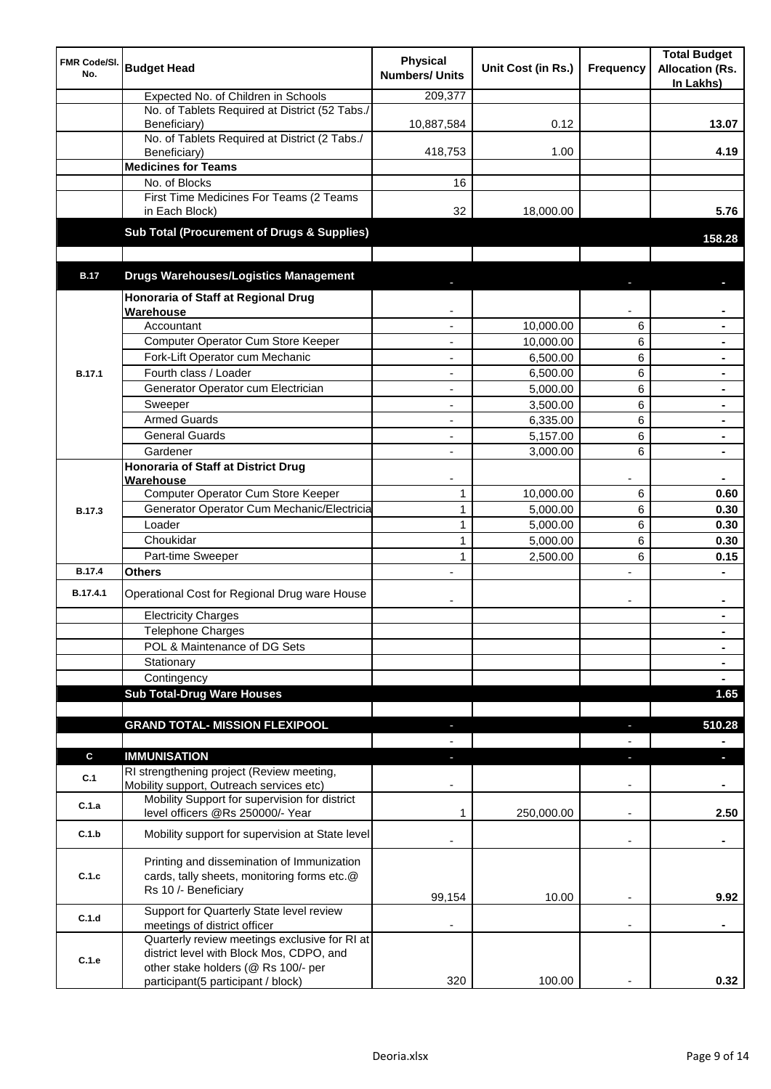| <b>FMR Code/SI.</b><br>No. | <b>Budget Head</b>                                                                                                | <b>Physical</b><br><b>Numbers/ Units</b> | Unit Cost (in Rs.)    | Frequency                | <b>Total Budget</b><br><b>Allocation (Rs.</b><br>In Lakhs) |
|----------------------------|-------------------------------------------------------------------------------------------------------------------|------------------------------------------|-----------------------|--------------------------|------------------------------------------------------------|
|                            | Expected No. of Children in Schools                                                                               | 209,377                                  |                       |                          |                                                            |
|                            | No. of Tablets Required at District (52 Tabs./<br>Beneficiary)                                                    | 10,887,584                               | 0.12                  |                          | 13.07                                                      |
|                            | No. of Tablets Required at District (2 Tabs./<br>Beneficiary)                                                     | 418,753                                  | 1.00                  |                          | 4.19                                                       |
|                            | <b>Medicines for Teams</b>                                                                                        |                                          |                       |                          |                                                            |
|                            | No. of Blocks                                                                                                     | 16                                       |                       |                          |                                                            |
|                            | First Time Medicines For Teams (2 Teams<br>in Each Block)                                                         | 32                                       | 18,000.00             |                          | 5.76                                                       |
|                            | Sub Total (Procurement of Drugs & Supplies)                                                                       |                                          |                       |                          | 158.28                                                     |
| <b>B.17</b>                | <b>Drugs Warehouses/Logistics Management</b>                                                                      |                                          |                       |                          |                                                            |
|                            |                                                                                                                   |                                          |                       |                          |                                                            |
|                            | Honoraria of Staff at Regional Drug                                                                               |                                          |                       |                          |                                                            |
|                            | Warehouse<br>Accountant                                                                                           |                                          |                       |                          |                                                            |
|                            | Computer Operator Cum Store Keeper                                                                                |                                          | 10,000.00             | 6                        | $\blacksquare$                                             |
|                            | Fork-Lift Operator cum Mechanic                                                                                   | ä,                                       | 10,000.00<br>6,500.00 | 6<br>6                   | $\blacksquare$                                             |
| <b>B.17.1</b>              | Fourth class / Loader                                                                                             | ä,                                       | 6,500.00              | 6                        | $\blacksquare$                                             |
|                            | Generator Operator cum Electrician                                                                                | ÷,                                       | 5,000.00              | 6                        |                                                            |
|                            | Sweeper                                                                                                           | ÷,                                       | 3,500.00              | 6                        |                                                            |
|                            | <b>Armed Guards</b>                                                                                               | ÷,                                       | 6,335.00              | 6                        |                                                            |
|                            | <b>General Guards</b>                                                                                             | $\blacksquare$                           | 5,157.00              | 6                        | $\blacksquare$                                             |
|                            | Gardener                                                                                                          | $\blacksquare$                           | 3,000.00              | 6                        |                                                            |
|                            | <b>Honoraria of Staff at District Drug</b>                                                                        |                                          |                       |                          |                                                            |
|                            | Warehouse                                                                                                         |                                          |                       |                          |                                                            |
|                            | Computer Operator Cum Store Keeper                                                                                | $\mathbf{1}$                             | 10,000.00             | 6                        | 0.60                                                       |
| <b>B.17.3</b>              | Generator Operator Cum Mechanic/Electricia                                                                        | $\mathbf{1}$                             | 5,000.00              | 6                        | 0.30                                                       |
|                            | Loader                                                                                                            | $\mathbf{1}$                             | 5,000.00              | 6                        | 0.30                                                       |
|                            | Choukidar                                                                                                         | $\mathbf{1}$                             | 5,000.00              | 6                        | 0.30                                                       |
|                            | Part-time Sweeper                                                                                                 | 1                                        | 2,500.00              | 6                        | 0.15                                                       |
| <b>B.17.4</b>              | Others                                                                                                            |                                          |                       | $\overline{a}$           |                                                            |
| B.17.4.1                   | Operational Cost for Regional Drug ware House                                                                     |                                          |                       | $\overline{\phantom{a}}$ | $\blacksquare$                                             |
|                            | <b>Electricity Charges</b>                                                                                        |                                          |                       |                          |                                                            |
|                            | Telephone Charges                                                                                                 |                                          |                       |                          | $\blacksquare$                                             |
|                            | POL & Maintenance of DG Sets                                                                                      |                                          |                       |                          | $\blacksquare$                                             |
|                            | Stationary                                                                                                        |                                          |                       |                          | $\blacksquare$                                             |
|                            | Contingency                                                                                                       |                                          |                       |                          | $\blacksquare$                                             |
|                            | <b>Sub Total-Drug Ware Houses</b>                                                                                 |                                          |                       |                          | 1.65                                                       |
|                            | <b>GRAND TOTAL- MISSION FLEXIPOOL</b>                                                                             |                                          |                       |                          | 510.28                                                     |
|                            |                                                                                                                   |                                          |                       |                          |                                                            |
| C                          | <b>IMMUNISATION</b>                                                                                               |                                          |                       | ٠                        | п                                                          |
| C.1                        | RI strengthening project (Review meeting,<br>Mobility support, Outreach services etc)                             |                                          |                       |                          |                                                            |
| C.1.a                      | Mobility Support for supervision for district<br>level officers @Rs 250000/- Year                                 | 1                                        | 250,000.00            | $\overline{\phantom{a}}$ | 2.50                                                       |
| C.1.b                      | Mobility support for supervision at State level                                                                   |                                          |                       | $\overline{\phantom{a}}$ | ۰                                                          |
| C.1.c                      | Printing and dissemination of Immunization<br>cards, tally sheets, monitoring forms etc.@<br>Rs 10 /- Beneficiary | 99,154                                   | 10.00                 |                          | 9.92                                                       |
|                            | Support for Quarterly State level review                                                                          |                                          |                       |                          |                                                            |
| C.1.d                      | meetings of district officer                                                                                      |                                          |                       |                          |                                                            |
| C.1.e                      | Quarterly review meetings exclusive for RI at<br>district level with Block Mos, CDPO, and                         |                                          |                       |                          |                                                            |
|                            | other stake holders (@ Rs 100/- per                                                                               |                                          |                       |                          |                                                            |
|                            | participant(5 participant / block)                                                                                | 320                                      | 100.00                |                          | 0.32                                                       |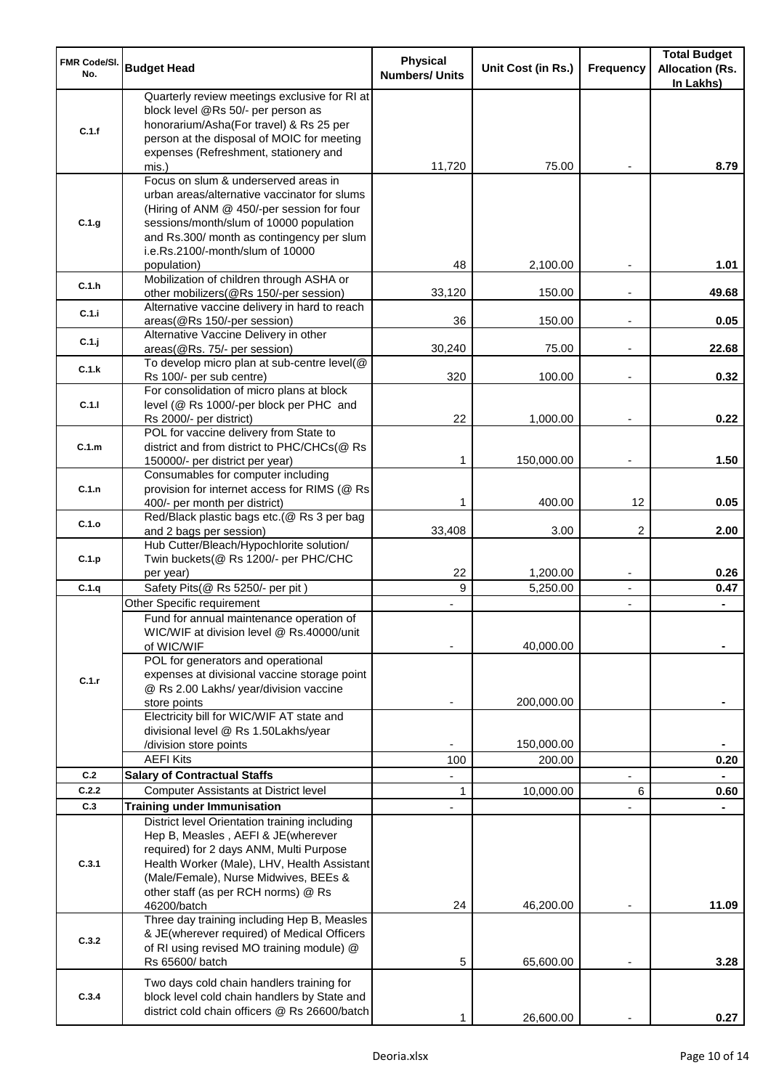| <b>FMR Code/SI.</b><br>No. | <b>Budget Head</b>                                                                                                                                                                                                                                             | <b>Physical</b><br><b>Numbers/ Units</b> | Unit Cost (in Rs.) | Frequency                | <b>Total Budget</b><br><b>Allocation (Rs.</b><br>In Lakhs) |
|----------------------------|----------------------------------------------------------------------------------------------------------------------------------------------------------------------------------------------------------------------------------------------------------------|------------------------------------------|--------------------|--------------------------|------------------------------------------------------------|
| C.1.f                      | Quarterly review meetings exclusive for RI at<br>block level @Rs 50/- per person as<br>honorarium/Asha(For travel) & Rs 25 per<br>person at the disposal of MOIC for meeting<br>expenses (Refreshment, stationery and                                          |                                          |                    |                          |                                                            |
|                            | mis.)                                                                                                                                                                                                                                                          | 11,720                                   | 75.00              |                          | 8.79                                                       |
| C.1.g                      | Focus on slum & underserved areas in<br>urban areas/alternative vaccinator for slums<br>(Hiring of ANM @ 450/-per session for four<br>sessions/month/slum of 10000 population<br>and Rs.300/ month as contingency per slum<br>i.e.Rs.2100/-month/slum of 10000 | 48                                       | 2,100.00           |                          | 1.01                                                       |
| C.1.h                      | population)<br>Mobilization of children through ASHA or                                                                                                                                                                                                        | 33,120                                   | 150.00             |                          | 49.68                                                      |
| C.1.i                      | other mobilizers(@Rs 150/-per session)<br>Alternative vaccine delivery in hard to reach                                                                                                                                                                        | 36                                       |                    |                          | 0.05                                                       |
| C.1.j                      | areas(@Rs 150/-per session)<br>Alternative Vaccine Delivery in other                                                                                                                                                                                           |                                          | 150.00             | $\overline{\phantom{a}}$ | 22.68                                                      |
| C.1.k                      | areas(@Rs. 75/- per session)<br>To develop micro plan at sub-centre level(@                                                                                                                                                                                    | 30,240                                   | 75.00              | $\overline{\phantom{a}}$ |                                                            |
|                            | Rs 100/- per sub centre)<br>For consolidation of micro plans at block                                                                                                                                                                                          | 320                                      | 100.00             |                          | 0.32                                                       |
| C.1.1                      | level (@ Rs 1000/-per block per PHC and<br>Rs 2000/- per district)                                                                                                                                                                                             | 22                                       | 1,000.00           |                          | 0.22                                                       |
| C.1.m                      | POL for vaccine delivery from State to<br>district and from district to PHC/CHCs(@ Rs<br>150000/- per district per year)                                                                                                                                       | 1                                        | 150,000.00         | $\overline{\phantom{a}}$ | 1.50                                                       |
| C.1.n                      | Consumables for computer including<br>provision for internet access for RIMS (@ Rs                                                                                                                                                                             | 1                                        | 400.00             | 12                       | 0.05                                                       |
| C.1.o                      | 400/- per month per district)<br>Red/Black plastic bags etc.(@ Rs 3 per bag                                                                                                                                                                                    |                                          |                    |                          |                                                            |
| C.1.p                      | and 2 bags per session)<br>Hub Cutter/Bleach/Hypochlorite solution/<br>Twin buckets(@ Rs 1200/- per PHC/CHC                                                                                                                                                    | 33,408                                   | 3.00               | 2                        | 2.00                                                       |
|                            | per year)                                                                                                                                                                                                                                                      | 22                                       | 1,200.00           | $\overline{\phantom{a}}$ | 0.26                                                       |
| C.1.q                      | Safety Pits(@ Rs 5250/- per pit)                                                                                                                                                                                                                               | 9                                        | 5,250.00           | $\blacksquare$           | 0.47                                                       |
|                            | Other Specific requirement<br>Fund for annual maintenance operation of<br>WIC/WIF at division level @ Rs.40000/unit<br>of WIC/WIF                                                                                                                              |                                          | 40,000.00          | $\blacksquare$           |                                                            |
| C.1.r                      | POL for generators and operational<br>expenses at divisional vaccine storage point<br>@ Rs 2.00 Lakhs/ year/division vaccine<br>store points                                                                                                                   |                                          | 200,000.00         |                          |                                                            |
|                            | Electricity bill for WIC/WIF AT state and<br>divisional level @ Rs 1.50Lakhs/year                                                                                                                                                                              |                                          |                    |                          |                                                            |
|                            | /division store points                                                                                                                                                                                                                                         |                                          | 150,000.00         |                          |                                                            |
|                            | <b>AEFI Kits</b>                                                                                                                                                                                                                                               | 100                                      | 200.00             |                          | 0.20                                                       |
| C.2                        | <b>Salary of Contractual Staffs</b>                                                                                                                                                                                                                            |                                          |                    |                          |                                                            |
| C.2.2<br>C.3               | <b>Computer Assistants at District level</b>                                                                                                                                                                                                                   | 1                                        | 10,000.00          | 6                        | 0.60                                                       |
|                            | <b>Training under Immunisation</b><br>District level Orientation training including                                                                                                                                                                            |                                          |                    |                          |                                                            |
| C.3.1                      | Hep B, Measles, AEFI & JE(wherever<br>required) for 2 days ANM, Multi Purpose<br>Health Worker (Male), LHV, Health Assistant<br>(Male/Female), Nurse Midwives, BEEs &<br>other staff (as per RCH norms) @ Rs<br>46200/batch                                    | 24                                       | 46,200.00          |                          | 11.09                                                      |
| C.3.2                      | Three day training including Hep B, Measles<br>& JE(wherever required) of Medical Officers<br>of RI using revised MO training module) @<br>Rs 65600/ batch                                                                                                     | 5                                        | 65,600.00          |                          | 3.28                                                       |
| C.3.4                      | Two days cold chain handlers training for<br>block level cold chain handlers by State and<br>district cold chain officers @ Rs 26600/batch                                                                                                                     |                                          | 26,600.00          |                          | 0.27                                                       |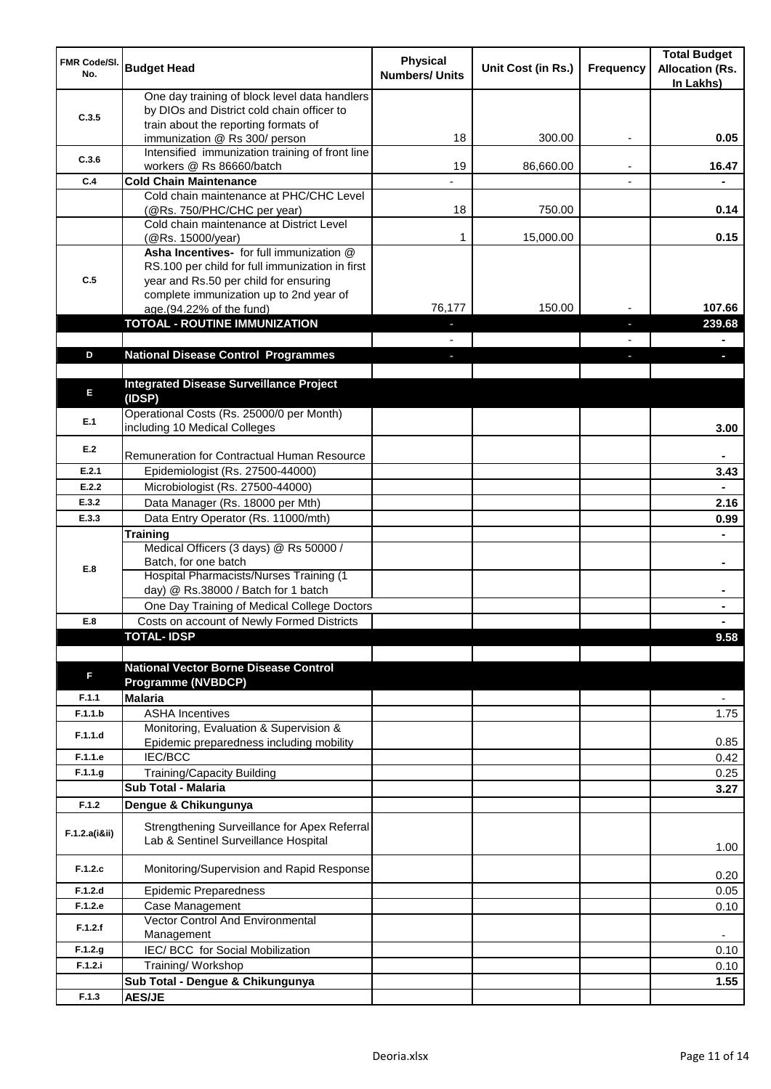| <b>FMR Code/SI.</b><br>No. | <b>Budget Head</b>                                                                                                                   | <b>Physical</b><br><b>Numbers/ Units</b> | Unit Cost (in Rs.) | Frequency | <b>Total Budget</b><br><b>Allocation (Rs.</b><br>In Lakhs) |
|----------------------------|--------------------------------------------------------------------------------------------------------------------------------------|------------------------------------------|--------------------|-----------|------------------------------------------------------------|
| C.3.5                      | One day training of block level data handlers<br>by DIOs and District cold chain officer to                                          |                                          |                    |           |                                                            |
|                            | train about the reporting formats of<br>immunization @ Rs 300/ person                                                                | 18                                       | 300.00             | ٠         | 0.05                                                       |
| C.3.6                      | Intensified immunization training of front line<br>workers @ Rs 86660/batch                                                          | 19                                       | 86,660.00          |           | 16.47                                                      |
| C.4                        | <b>Cold Chain Maintenance</b>                                                                                                        |                                          |                    |           |                                                            |
|                            | Cold chain maintenance at PHC/CHC Level<br>(@Rs. 750/PHC/CHC per year)                                                               | 18                                       | 750.00             |           | 0.14                                                       |
|                            | Cold chain maintenance at District Level<br>(@Rs. 15000/year)                                                                        | 1                                        | 15,000.00          |           | 0.15                                                       |
| C.5                        | Asha Incentives- for full immunization @<br>RS.100 per child for full immunization in first<br>year and Rs.50 per child for ensuring |                                          |                    |           |                                                            |
|                            | complete immunization up to 2nd year of<br>age.(94.22% of the fund)                                                                  | 76,177                                   | 150.00             |           | 107.66                                                     |
|                            | <b>TOTOAL - ROUTINE IMMUNIZATION</b>                                                                                                 |                                          |                    |           | 239.68                                                     |
|                            |                                                                                                                                      |                                          |                    |           |                                                            |
| D                          | <b>National Disease Control Programmes</b>                                                                                           |                                          |                    |           |                                                            |
|                            |                                                                                                                                      |                                          |                    |           |                                                            |
| E                          | <b>Integrated Disease Surveillance Project</b><br>(IDSP)                                                                             |                                          |                    |           |                                                            |
| E.1                        | Operational Costs (Rs. 25000/0 per Month)<br>including 10 Medical Colleges                                                           |                                          |                    |           | 3.00                                                       |
| E.2                        | Remuneration for Contractual Human Resource                                                                                          |                                          |                    |           |                                                            |
| E.2.1                      | Epidemiologist (Rs. 27500-44000)                                                                                                     |                                          |                    |           | 3.43                                                       |
| E.2.2                      | Microbiologist (Rs. 27500-44000)                                                                                                     |                                          |                    |           |                                                            |
| E.3.2                      | Data Manager (Rs. 18000 per Mth)                                                                                                     |                                          |                    |           | 2.16                                                       |
| E.3.3                      | Data Entry Operator (Rs. 11000/mth)                                                                                                  |                                          |                    |           | 0.99                                                       |
|                            | <b>Training</b>                                                                                                                      |                                          |                    |           |                                                            |
| E.8                        | Medical Officers (3 days) @ Rs 50000 /<br>Batch, for one batch                                                                       |                                          |                    |           | $\blacksquare$                                             |
|                            | Hospital Pharmacists/Nurses Training (1<br>day) @ Rs.38000 / Batch for 1 batch                                                       |                                          |                    |           |                                                            |
|                            | One Day Training of Medical College Doctors                                                                                          |                                          |                    |           |                                                            |
| E.8                        | Costs on account of Newly Formed Districts                                                                                           |                                          |                    |           |                                                            |
|                            | <b>TOTAL-IDSP</b>                                                                                                                    |                                          |                    |           | 9.58                                                       |
| F                          | <b>National Vector Borne Disease Control</b><br><b>Programme (NVBDCP)</b>                                                            |                                          |                    |           |                                                            |
| F.1.1                      | <b>Malaria</b>                                                                                                                       |                                          |                    |           | $\overline{\phantom{a}}$                                   |
| F.1.1.b                    | <b>ASHA Incentives</b>                                                                                                               |                                          |                    |           | 1.75                                                       |
| F.1.1.d                    | Monitoring, Evaluation & Supervision &<br>Epidemic preparedness including mobility                                                   |                                          |                    |           | 0.85                                                       |
| F.1.1.e                    | <b>IEC/BCC</b>                                                                                                                       |                                          |                    |           | 0.42                                                       |
| F.1.1.g                    | Training/Capacity Building                                                                                                           |                                          |                    |           | 0.25                                                       |
|                            | <b>Sub Total - Malaria</b>                                                                                                           |                                          |                    |           | 3.27                                                       |
| F.1.2                      | Dengue & Chikungunya                                                                                                                 |                                          |                    |           |                                                            |
| F.1.2.a(iⅈ)                | Strengthening Surveillance for Apex Referral<br>Lab & Sentinel Surveillance Hospital                                                 |                                          |                    |           | 1.00                                                       |
| F.1.2.c                    | Monitoring/Supervision and Rapid Response                                                                                            |                                          |                    |           | 0.20                                                       |
| F.1.2.d                    | <b>Epidemic Preparedness</b>                                                                                                         |                                          |                    |           | 0.05                                                       |
| F.1.2.e                    | Case Management<br>Vector Control And Environmental                                                                                  |                                          |                    |           | 0.10                                                       |
| F.1.2.f                    | Management                                                                                                                           |                                          |                    |           | $\overline{\phantom{a}}$                                   |
| F.1.2.g                    | IEC/ BCC for Social Mobilization                                                                                                     |                                          |                    |           | 0.10                                                       |
| F.1.2.i                    | Training/ Workshop                                                                                                                   |                                          |                    |           | 0.10                                                       |
|                            | Sub Total - Dengue & Chikungunya                                                                                                     |                                          |                    |           | 1.55                                                       |
| F.1.3                      | <b>AES/JE</b>                                                                                                                        |                                          |                    |           |                                                            |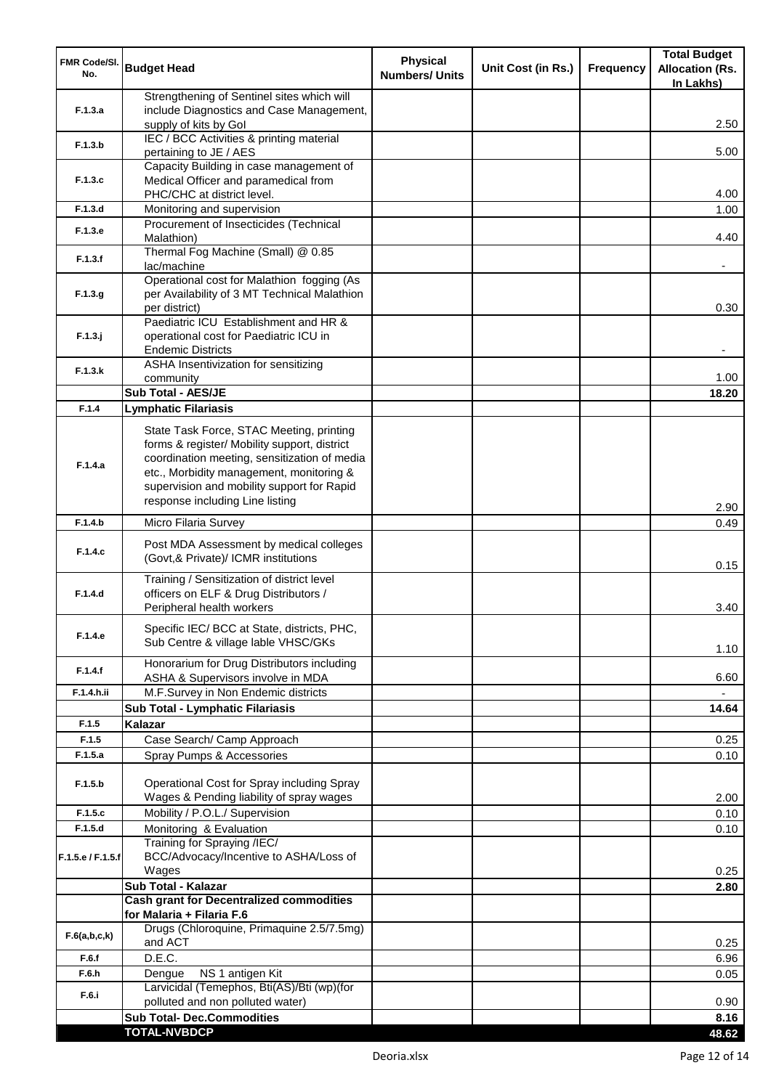| <b>FMR Code/SI.</b><br>No. | <b>Budget Head</b>                                                                                                                                                                                                                                                    | <b>Physical</b><br><b>Numbers/ Units</b> | Unit Cost (in Rs.) | <b>Frequency</b> | <b>Total Budget</b><br><b>Allocation (Rs.</b><br>In Lakhs) |
|----------------------------|-----------------------------------------------------------------------------------------------------------------------------------------------------------------------------------------------------------------------------------------------------------------------|------------------------------------------|--------------------|------------------|------------------------------------------------------------|
|                            | Strengthening of Sentinel sites which will                                                                                                                                                                                                                            |                                          |                    |                  |                                                            |
| F.1.3.a                    | include Diagnostics and Case Management,<br>supply of kits by Gol                                                                                                                                                                                                     |                                          |                    |                  | 2.50                                                       |
| F.1.3.b                    | IEC / BCC Activities & printing material<br>pertaining to JE / AES                                                                                                                                                                                                    |                                          |                    |                  | 5.00                                                       |
|                            | Capacity Building in case management of                                                                                                                                                                                                                               |                                          |                    |                  |                                                            |
| F.1.3.c                    | Medical Officer and paramedical from                                                                                                                                                                                                                                  |                                          |                    |                  |                                                            |
|                            | PHC/CHC at district level.                                                                                                                                                                                                                                            |                                          |                    |                  | 4.00                                                       |
| F.1.3.d                    | Monitoring and supervision<br>Procurement of Insecticides (Technical                                                                                                                                                                                                  |                                          |                    |                  | 1.00                                                       |
| F.1.3.e                    | Malathion)                                                                                                                                                                                                                                                            |                                          |                    |                  | 4.40                                                       |
| F.1.3.f                    | Thermal Fog Machine (Small) @ 0.85<br>lac/machine                                                                                                                                                                                                                     |                                          |                    |                  |                                                            |
| F.1.3.g                    | Operational cost for Malathion fogging (As<br>per Availability of 3 MT Technical Malathion<br>per district)                                                                                                                                                           |                                          |                    |                  | 0.30                                                       |
|                            | Paediatric ICU Establishment and HR &                                                                                                                                                                                                                                 |                                          |                    |                  |                                                            |
| $F.1.3.$ j                 | operational cost for Paediatric ICU in                                                                                                                                                                                                                                |                                          |                    |                  |                                                            |
|                            | <b>Endemic Districts</b><br>ASHA Insentivization for sensitizing                                                                                                                                                                                                      |                                          |                    |                  |                                                            |
| F.1.3.k                    | community                                                                                                                                                                                                                                                             |                                          |                    |                  | 1.00                                                       |
|                            | Sub Total - AES/JE                                                                                                                                                                                                                                                    |                                          |                    |                  | 18.20                                                      |
| F.1.4                      | <b>Lymphatic Filariasis</b>                                                                                                                                                                                                                                           |                                          |                    |                  |                                                            |
| F.1.4.a                    | State Task Force, STAC Meeting, printing<br>forms & register/ Mobility support, district<br>coordination meeting, sensitization of media<br>etc., Morbidity management, monitoring &<br>supervision and mobility support for Rapid<br>response including Line listing |                                          |                    |                  | 2.90                                                       |
| F.1.4.b                    | Micro Filaria Survey                                                                                                                                                                                                                                                  |                                          |                    |                  | 0.49                                                       |
| F.1.4.c                    | Post MDA Assessment by medical colleges<br>(Govt,& Private)/ ICMR institutions                                                                                                                                                                                        |                                          |                    |                  | 0.15                                                       |
| F.1.4.d                    | Training / Sensitization of district level<br>officers on ELF & Drug Distributors /<br>Peripheral health workers                                                                                                                                                      |                                          |                    |                  | 3.40                                                       |
| F.1.4.e                    | Specific IEC/ BCC at State, districts, PHC,<br>Sub Centre & village lable VHSC/GKs                                                                                                                                                                                    |                                          |                    |                  | 1.10                                                       |
| F.1.4.f                    | Honorarium for Drug Distributors including<br>ASHA & Supervisors involve in MDA                                                                                                                                                                                       |                                          |                    |                  | 6.60                                                       |
| F.1.4.h.ii                 | M.F.Survey in Non Endemic districts                                                                                                                                                                                                                                   |                                          |                    |                  |                                                            |
|                            | Sub Total - Lymphatic Filariasis                                                                                                                                                                                                                                      |                                          |                    |                  | 14.64                                                      |
| F.1.5                      | Kalazar                                                                                                                                                                                                                                                               |                                          |                    |                  |                                                            |
| F.1.5                      | Case Search/ Camp Approach                                                                                                                                                                                                                                            |                                          |                    |                  | 0.25                                                       |
| F.1.5.a                    | Spray Pumps & Accessories                                                                                                                                                                                                                                             |                                          |                    |                  | 0.10                                                       |
| F.1.5.b                    | Operational Cost for Spray including Spray<br>Wages & Pending liability of spray wages                                                                                                                                                                                |                                          |                    |                  | 2.00                                                       |
| F.1.5.c                    | Mobility / P.O.L./ Supervision                                                                                                                                                                                                                                        |                                          |                    |                  | 0.10                                                       |
| F.1.5.d                    | Monitoring & Evaluation                                                                                                                                                                                                                                               |                                          |                    |                  | 0.10                                                       |
| F.1.5.e / F.1.5.f          | Training for Spraying /IEC/<br>BCC/Advocacy/Incentive to ASHA/Loss of<br>Wages                                                                                                                                                                                        |                                          |                    |                  | 0.25                                                       |
|                            | Sub Total - Kalazar                                                                                                                                                                                                                                                   |                                          |                    |                  | 2.80                                                       |
|                            | <b>Cash grant for Decentralized commodities</b><br>for Malaria + Filaria F.6                                                                                                                                                                                          |                                          |                    |                  |                                                            |
| F.6(a,b,c,k)               | Drugs (Chloroquine, Primaquine 2.5/7.5mg)<br>and ACT                                                                                                                                                                                                                  |                                          |                    |                  | 0.25                                                       |
| F.6.f                      | D.E.C.                                                                                                                                                                                                                                                                |                                          |                    |                  | 6.96                                                       |
| F.6.h                      | NS 1 antigen Kit<br>Dengue                                                                                                                                                                                                                                            |                                          |                    |                  | 0.05                                                       |
| F.6.i                      | Larvicidal (Temephos, Bti(AS)/Bti (wp)(for                                                                                                                                                                                                                            |                                          |                    |                  |                                                            |
|                            | polluted and non polluted water)<br><b>Sub Total- Dec.Commodities</b>                                                                                                                                                                                                 |                                          |                    |                  | 0.90<br>8.16                                               |
|                            | <b>TOTAL-NVBDCP</b>                                                                                                                                                                                                                                                   |                                          |                    |                  | 48.62                                                      |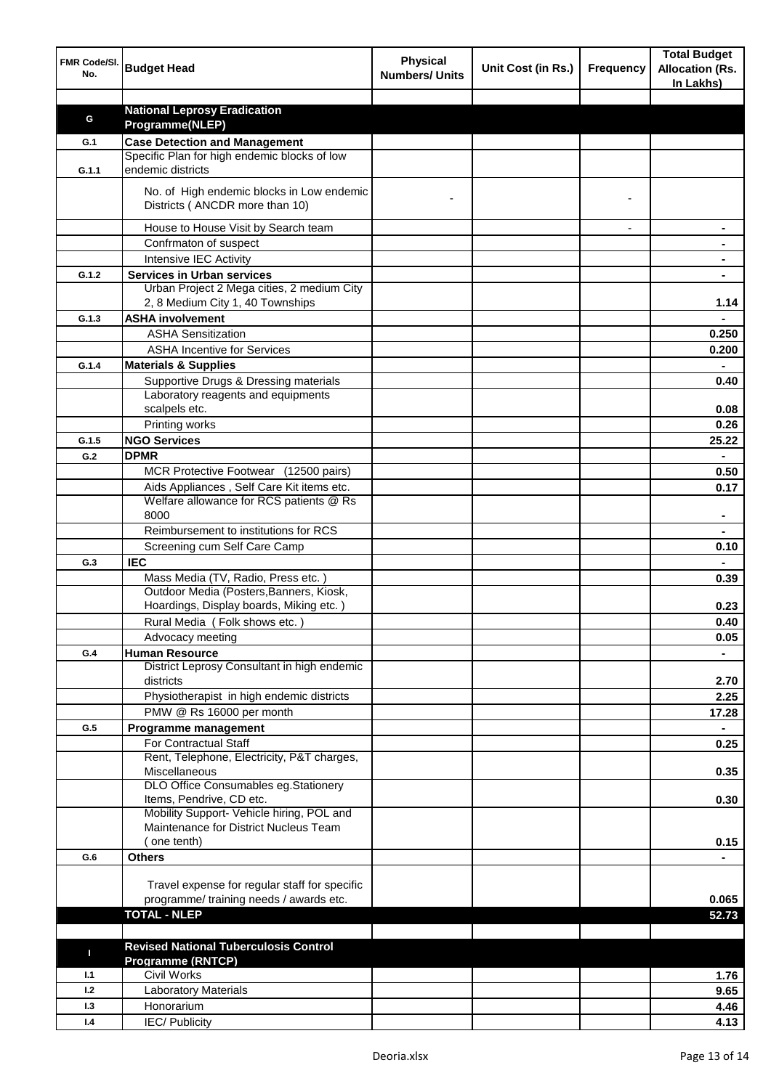| FMR Code/SI.<br>No. | <b>Budget Head</b>                                                                   | <b>Physical</b><br><b>Numbers/ Units</b> | Unit Cost (in Rs.) | <b>Frequency</b> | <b>Total Budget</b><br><b>Allocation (Rs.</b><br>In Lakhs) |
|---------------------|--------------------------------------------------------------------------------------|------------------------------------------|--------------------|------------------|------------------------------------------------------------|
|                     |                                                                                      |                                          |                    |                  |                                                            |
| G                   | <b>National Leprosy Eradication</b>                                                  |                                          |                    |                  |                                                            |
|                     | Programme(NLEP)                                                                      |                                          |                    |                  |                                                            |
| G.1                 | <b>Case Detection and Management</b><br>Specific Plan for high endemic blocks of low |                                          |                    |                  |                                                            |
| G.1.1               | endemic districts                                                                    |                                          |                    |                  |                                                            |
|                     | No. of High endemic blocks in Low endemic<br>Districts (ANCDR more than 10)          |                                          |                    |                  |                                                            |
|                     | House to House Visit by Search team                                                  |                                          |                    |                  |                                                            |
|                     | Confrmaton of suspect                                                                |                                          |                    |                  |                                                            |
|                     | Intensive IEC Activity                                                               |                                          |                    |                  |                                                            |
| G.1.2               | <b>Services in Urban services</b>                                                    |                                          |                    |                  |                                                            |
|                     | Urban Project 2 Mega cities, 2 medium City                                           |                                          |                    |                  |                                                            |
|                     | 2, 8 Medium City 1, 40 Townships                                                     |                                          |                    |                  | 1.14                                                       |
| G.1.3               | <b>ASHA involvement</b>                                                              |                                          |                    |                  |                                                            |
|                     | <b>ASHA Sensitization</b>                                                            |                                          |                    |                  | 0.250                                                      |
|                     | <b>ASHA Incentive for Services</b>                                                   |                                          |                    |                  | 0.200                                                      |
| G.1.4               | <b>Materials &amp; Supplies</b>                                                      |                                          |                    |                  |                                                            |
|                     | Supportive Drugs & Dressing materials                                                |                                          |                    |                  | 0.40                                                       |
|                     | Laboratory reagents and equipments                                                   |                                          |                    |                  |                                                            |
|                     | scalpels etc.                                                                        |                                          |                    |                  | 0.08                                                       |
|                     | Printing works                                                                       |                                          |                    |                  | 0.26                                                       |
| G.1.5               | <b>NGO Services</b>                                                                  |                                          |                    |                  | 25.22                                                      |
| G.2                 | <b>DPMR</b>                                                                          |                                          |                    |                  | $\blacksquare$                                             |
|                     | MCR Protective Footwear (12500 pairs)                                                |                                          |                    |                  | 0.50                                                       |
|                     | Aids Appliances, Self Care Kit items etc.                                            |                                          |                    |                  | 0.17                                                       |
|                     | Welfare allowance for RCS patients @ Rs<br>8000                                      |                                          |                    |                  |                                                            |
|                     | Reimbursement to institutions for RCS                                                |                                          |                    |                  |                                                            |
|                     | Screening cum Self Care Camp                                                         |                                          |                    |                  | 0.10                                                       |
| G.3                 | <b>IEC</b>                                                                           |                                          |                    |                  |                                                            |
|                     | Mass Media (TV, Radio, Press etc.)                                                   |                                          |                    |                  | 0.39                                                       |
|                     | Outdoor Media (Posters, Banners, Kiosk,                                              |                                          |                    |                  |                                                            |
|                     | Hoardings, Display boards, Miking etc.)                                              |                                          |                    |                  | 0.23                                                       |
|                     | Rural Media (Folk shows etc.)                                                        |                                          |                    |                  | 0.40                                                       |
|                     | Advocacy meeting                                                                     |                                          |                    |                  | 0.05                                                       |
| G.4                 | <b>Human Resource</b>                                                                |                                          |                    |                  |                                                            |
|                     | District Leprosy Consultant in high endemic<br>districts                             |                                          |                    |                  | 2.70                                                       |
|                     | Physiotherapist in high endemic districts                                            |                                          |                    |                  | 2.25                                                       |
|                     | PMW @ Rs 16000 per month                                                             |                                          |                    |                  | 17.28                                                      |
| G.5                 | Programme management                                                                 |                                          |                    |                  | $\blacksquare$                                             |
|                     | For Contractual Staff                                                                |                                          |                    |                  | 0.25                                                       |
|                     | Rent, Telephone, Electricity, P&T charges,                                           |                                          |                    |                  |                                                            |
|                     | Miscellaneous                                                                        |                                          |                    |                  | 0.35                                                       |
|                     | DLO Office Consumables eg.Stationery<br>Items, Pendrive, CD etc.                     |                                          |                    |                  |                                                            |
|                     | Mobility Support- Vehicle hiring, POL and                                            |                                          |                    |                  | 0.30                                                       |
|                     | Maintenance for District Nucleus Team                                                |                                          |                    |                  |                                                            |
|                     | one tenth)                                                                           |                                          |                    |                  | 0.15                                                       |
| G.6                 | <b>Others</b>                                                                        |                                          |                    |                  |                                                            |
|                     |                                                                                      |                                          |                    |                  |                                                            |
|                     | Travel expense for regular staff for specific                                        |                                          |                    |                  |                                                            |
|                     | programme/ training needs / awards etc.                                              |                                          |                    |                  | 0.065                                                      |
|                     | <b>TOTAL - NLEP</b>                                                                  |                                          |                    |                  | 52.73                                                      |
|                     |                                                                                      |                                          |                    |                  |                                                            |
| П                   | <b>Revised National Tuberculosis Control</b>                                         |                                          |                    |                  |                                                            |
|                     | <b>Programme (RNTCP)</b>                                                             |                                          |                    |                  |                                                            |
| 1.1                 | <b>Civil Works</b>                                                                   |                                          |                    |                  | 1.76                                                       |
| 1.2                 | <b>Laboratory Materials</b>                                                          |                                          |                    |                  | 9.65                                                       |
| 1.3                 | Honorarium                                                                           |                                          |                    |                  | 4.46                                                       |
| 1.4                 | <b>IEC/Publicity</b>                                                                 |                                          |                    |                  | 4.13                                                       |